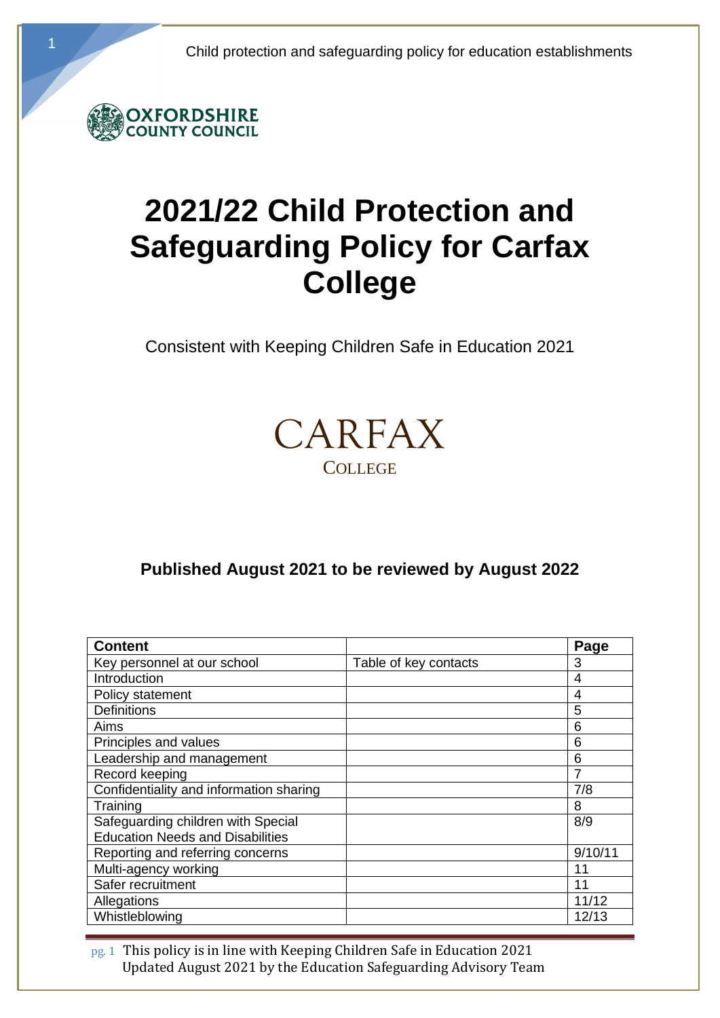

# **2021/22 Child Protection and Safeguarding Policy for Carfax College**

Consistent with Keeping Children Safe in Education 2021



# **Published August 2021 to be reviewed by August 2022**

| <b>Content</b>                          |                       | Page    |
|-----------------------------------------|-----------------------|---------|
| Key personnel at our school             | Table of key contacts | 3       |
| Introduction                            |                       | 4       |
| Policy statement                        |                       | 4       |
| <b>Definitions</b>                      |                       | 5       |
| Aims                                    |                       | 6       |
| Principles and values                   |                       | 6       |
| Leadership and management               |                       | 6       |
| Record keeping                          |                       |         |
| Confidentiality and information sharing |                       | 7/8     |
| Training                                |                       | 8       |
| Safeguarding children with Special      |                       | 8/9     |
| <b>Education Needs and Disabilities</b> |                       |         |
| Reporting and referring concerns        |                       | 9/10/11 |
| Multi-agency working                    |                       | 11      |
| Safer recruitment                       |                       | 11      |
| Allegations                             |                       | 11/12   |
| Whistleblowing                          |                       | 12/13   |

pg. 1 This policy is in line with Keeping Children Safe in Education 2021 Updated August 2021 by the Education Safeguarding Advisory Team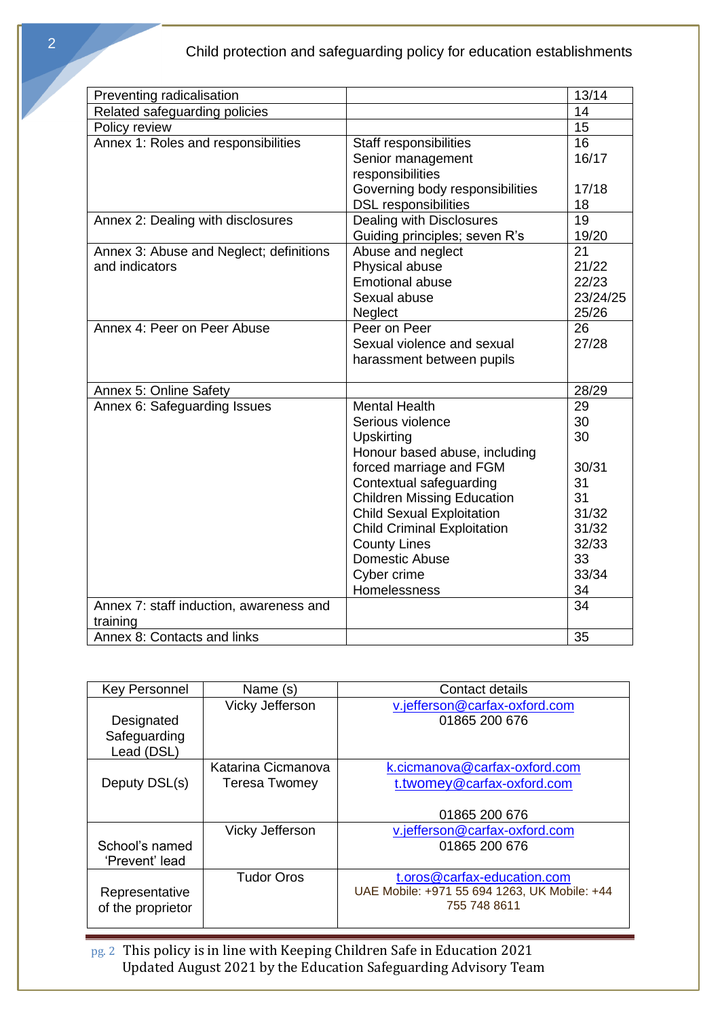| Preventing radicalisation               |                                    | 13/14    |
|-----------------------------------------|------------------------------------|----------|
| Related safeguarding policies           |                                    | 14       |
| Policy review                           |                                    | 15       |
| Annex 1: Roles and responsibilities     | Staff responsibilities             | 16       |
|                                         | Senior management                  | 16/17    |
|                                         | responsibilities                   |          |
|                                         | Governing body responsibilities    | 17/18    |
|                                         | <b>DSL</b> responsibilities        | 18       |
| Annex 2: Dealing with disclosures       | Dealing with Disclosures           | 19       |
|                                         | Guiding principles; seven R's      | 19/20    |
| Annex 3: Abuse and Neglect; definitions | Abuse and neglect                  | 21       |
| and indicators                          | Physical abuse                     | 21/22    |
|                                         | <b>Emotional abuse</b>             | 22/23    |
|                                         | Sexual abuse                       | 23/24/25 |
|                                         | <b>Neglect</b>                     | 25/26    |
| Annex 4: Peer on Peer Abuse             | Peer on Peer                       | 26       |
|                                         | Sexual violence and sexual         | 27/28    |
|                                         | harassment between pupils          |          |
|                                         |                                    |          |
| Annex 5: Online Safety                  |                                    | 28/29    |
| Annex 6: Safeguarding Issues            | <b>Mental Health</b>               | 29       |
|                                         | Serious violence                   | 30       |
|                                         | Upskirting                         | 30       |
|                                         | Honour based abuse, including      |          |
|                                         | forced marriage and FGM            | 30/31    |
|                                         | Contextual safeguarding            | 31       |
|                                         | <b>Children Missing Education</b>  | 31       |
|                                         | <b>Child Sexual Exploitation</b>   | 31/32    |
|                                         | <b>Child Criminal Exploitation</b> | 31/32    |
|                                         | <b>County Lines</b>                | 32/33    |
|                                         | <b>Domestic Abuse</b>              | 33       |
|                                         | Cyber crime                        | 33/34    |
|                                         | Homelessness                       | 34       |
| Annex 7: staff induction, awareness and |                                    | 34       |
| training                                |                                    |          |
| Annex 8: Contacts and links             |                                    | 35       |

| <b>Key Personnel</b> | Name (s)             | Contact details                              |
|----------------------|----------------------|----------------------------------------------|
|                      | Vicky Jefferson      | v.jefferson@carfax-oxford.com                |
| Designated           |                      | 01865 200 676                                |
| Safeguarding         |                      |                                              |
| Lead (DSL)           |                      |                                              |
|                      | Katarina Cicmanova   | k.cicmanova@carfax-oxford.com                |
| Deputy DSL(s)        | <b>Teresa Twomey</b> | t.twomey@carfax-oxford.com                   |
|                      |                      |                                              |
|                      |                      | 01865 200 676                                |
|                      | Vicky Jefferson      | <u>v.jefferson@carfax-oxford.com</u>         |
| School's named       |                      | 01865 200 676                                |
| 'Prevent' lead       |                      |                                              |
|                      | <b>Tudor Oros</b>    | t.oros@carfax-education.com                  |
| Representative       |                      | UAE Mobile: +971 55 694 1263, UK Mobile: +44 |
| of the proprietor    |                      | 755 748 8611                                 |
|                      |                      |                                              |

pg. 2 This policy is in line with Keeping Children Safe in Education 2021 Updated August 2021 by the Education Safeguarding Advisory Team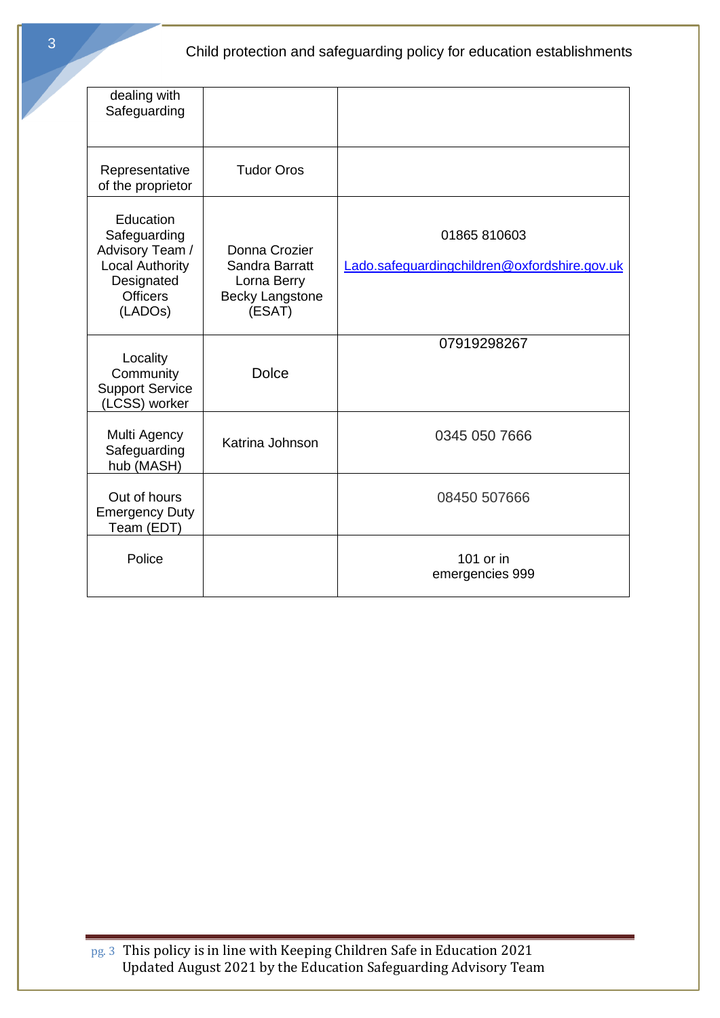| dealing with<br>Safeguarding                                                                                       |                                                                                    |                                                              |
|--------------------------------------------------------------------------------------------------------------------|------------------------------------------------------------------------------------|--------------------------------------------------------------|
| Representative<br>of the proprietor                                                                                | <b>Tudor Oros</b>                                                                  |                                                              |
| Education<br>Safeguarding<br>Advisory Team /<br><b>Local Authority</b><br>Designated<br><b>Officers</b><br>(LADOs) | Donna Crozier<br>Sandra Barratt<br>Lorna Berry<br><b>Becky Langstone</b><br>(ESAT) | 01865 810603<br>Lado.safeguardingchildren@oxfordshire.gov.uk |
| Locality<br>Community<br><b>Support Service</b><br>(LCSS) worker                                                   | <b>Dolce</b>                                                                       | 07919298267                                                  |
| Multi Agency<br>Safeguarding<br>hub (MASH)                                                                         | Katrina Johnson                                                                    | 0345 050 7666                                                |
| Out of hours<br><b>Emergency Duty</b><br>Team (EDT)                                                                |                                                                                    | 08450 507666                                                 |
| Police                                                                                                             |                                                                                    | 101 or in<br>emergencies 999                                 |

pg. 3 This policy is in line with Keeping Children Safe in Education 2021 Updated August 2021 by the Education Safeguarding Advisory Team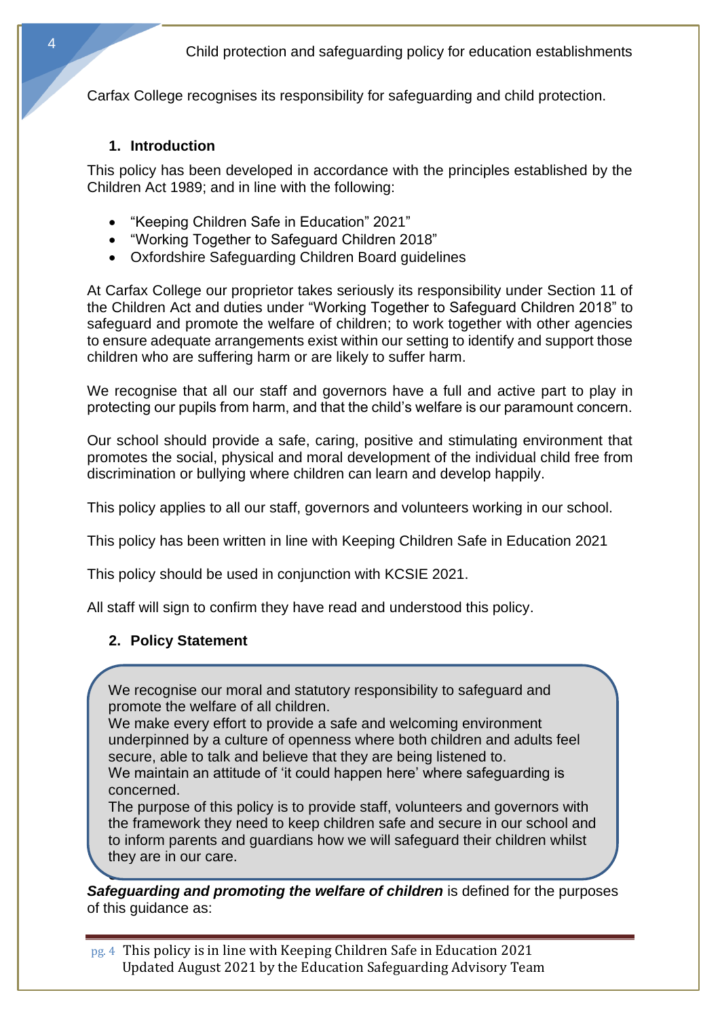Carfax College recognises its responsibility for safeguarding and child protection.

#### **1. Introduction**

This policy has been developed in accordance with the principles established by the Children Act 1989; and in line with the following:

- "Keeping Children Safe in Education" 2021"
- "Working Together to Safeguard Children 2018"
- Oxfordshire Safeguarding Children Board guidelines

At Carfax College our proprietor takes seriously its responsibility under Section 11 of the Children Act and duties under "Working Together to Safeguard Children 2018" to safeguard and promote the welfare of children; to work together with other agencies to ensure adequate arrangements exist within our setting to identify and support those children who are suffering harm or are likely to suffer harm.

We recognise that all our staff and governors have a full and active part to play in protecting our pupils from harm, and that the child's welfare is our paramount concern.

Our school should provide a safe, caring, positive and stimulating environment that promotes the social, physical and moral development of the individual child free from discrimination or bullying where children can learn and develop happily.

This policy applies to all our staff, governors and volunteers working in our school.

This policy has been written in line with Keeping Children Safe in Education 2021

This policy should be used in conjunction with KCSIE 2021.

All staff will sign to confirm they have read and understood this policy.

#### **2. Policy Statement**

We recognise our moral and statutory responsibility to safeguard and promote the welfare of all children.

We make every effort to provide a safe and welcoming environment underpinned by a culture of openness where both children and adults feel secure, able to talk and believe that they are being listened to. We maintain an attitude of 'it could happen here' where safeguarding is

concerned. The purpose of this policy is to provide staff, volunteers and governors with the framework they need to keep children safe and secure in our school and to inform parents and guardians how we will safeguard their children whilst

they are in our care.

**3. Definitions** *Safeguarding and promoting the welfare of children* is defined for the purposes of this guidance as:

pg. 4 This policy is in line with Keeping Children Safe in Education 2021 Updated August 2021 by the Education Safeguarding Advisory Team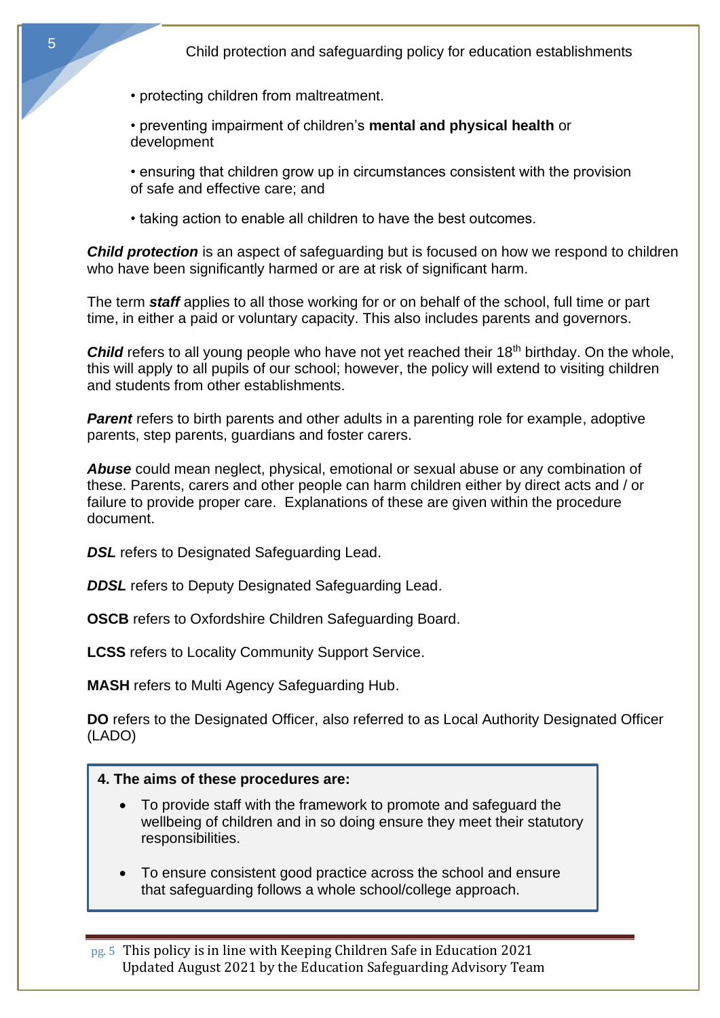- protecting children from maltreatment.
- preventing impairment of children's **mental and physical health** or development
- ensuring that children grow up in circumstances consistent with the provision of safe and effective care; and
- taking action to enable all children to have the best outcomes.

**Child protection** is an aspect of safeguarding but is focused on how we respond to children who have been significantly harmed or are at risk of significant harm.

The term *staff* applies to all those working for or on behalf of the school, full time or part time, in either a paid or voluntary capacity. This also includes parents and governors.

**Child** refers to all young people who have not yet reached their 18<sup>th</sup> birthday. On the whole, this will apply to all pupils of our school; however, the policy will extend to visiting children and students from other establishments.

**Parent** refers to birth parents and other adults in a parenting role for example, adoptive parents, step parents, guardians and foster carers.

*Abuse* could mean neglect, physical, emotional or sexual abuse or any combination of these. Parents, carers and other people can harm children either by direct acts and / or failure to provide proper care. Explanations of these are given within the procedure document.

**DSL** refers to Designated Safeguarding Lead.

**DDSL** refers to Deputy Designated Safeguarding Lead.

**OSCB** refers to Oxfordshire Children Safeguarding Board.

**LCSS** refers to Locality Community Support Service.

**MASH** refers to Multi Agency Safeguarding Hub.

**DO** refers to the Designated Officer, also referred to as Local Authority Designated Officer (LADO)

#### **4. The aims of these procedures are:**

- To provide staff with the framework to promote and safeguard the wellbeing of children and in so doing ensure they meet their statutory responsibilities.
- To ensure consistent good practice across the school and ensure that safeguarding follows a whole school/college approach.

pg. 5 This policy is in line with Keeping Children Safe in Education 2021 Updated August 2021 by the Education Safeguarding Advisory Team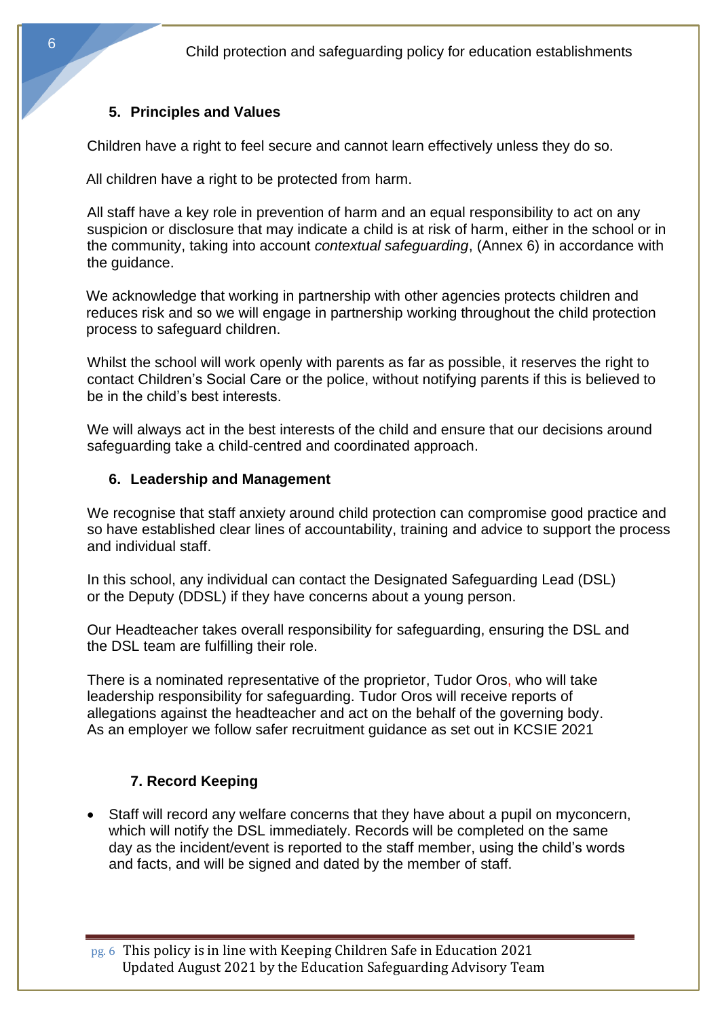#### **5. Principles and Values**

Children have a right to feel secure and cannot learn effectively unless they do so.

All children have a right to be protected from harm.

All staff have a key role in prevention of harm and an equal responsibility to act on any suspicion or disclosure that may indicate a child is at risk of harm, either in the school or in the community, taking into account *contextual safeguarding*, (Annex 6) in accordance with the guidance.

We acknowledge that working in partnership with other agencies protects children and reduces risk and so we will engage in partnership working throughout the child protection process to safeguard children.

Whilst the school will work openly with parents as far as possible, it reserves the right to contact Children's Social Care or the police, without notifying parents if this is believed to be in the child's best interests.

We will always act in the best interests of the child and ensure that our decisions around safeguarding take a child-centred and coordinated approach.

#### **6. Leadership and Management**

We recognise that staff anxiety around child protection can compromise good practice and so have established clear lines of accountability, training and advice to support the process and individual staff.

In this school, any individual can contact the Designated Safeguarding Lead (DSL) or the Deputy (DDSL) if they have concerns about a young person.

Our Headteacher takes overall responsibility for safeguarding, ensuring the DSL and the DSL team are fulfilling their role.

There is a nominated representative of the proprietor, Tudor Oros, who will take leadership responsibility for safeguarding. Tudor Oros will receive reports of allegations against the headteacher and act on the behalf of the governing body. As an employer we follow safer recruitment guidance as set out in KCSIE 2021

## **7. Record Keeping**

• Staff will record any welfare concerns that they have about a pupil on myconcern, which will notify the DSL immediately. Records will be completed on the same day as the incident/event is reported to the staff member, using the child's words and facts, and will be signed and dated by the member of staff.

pg. 6 This policy is in line with Keeping Children Safe in Education 2021 Updated August 2021 by the Education Safeguarding Advisory Team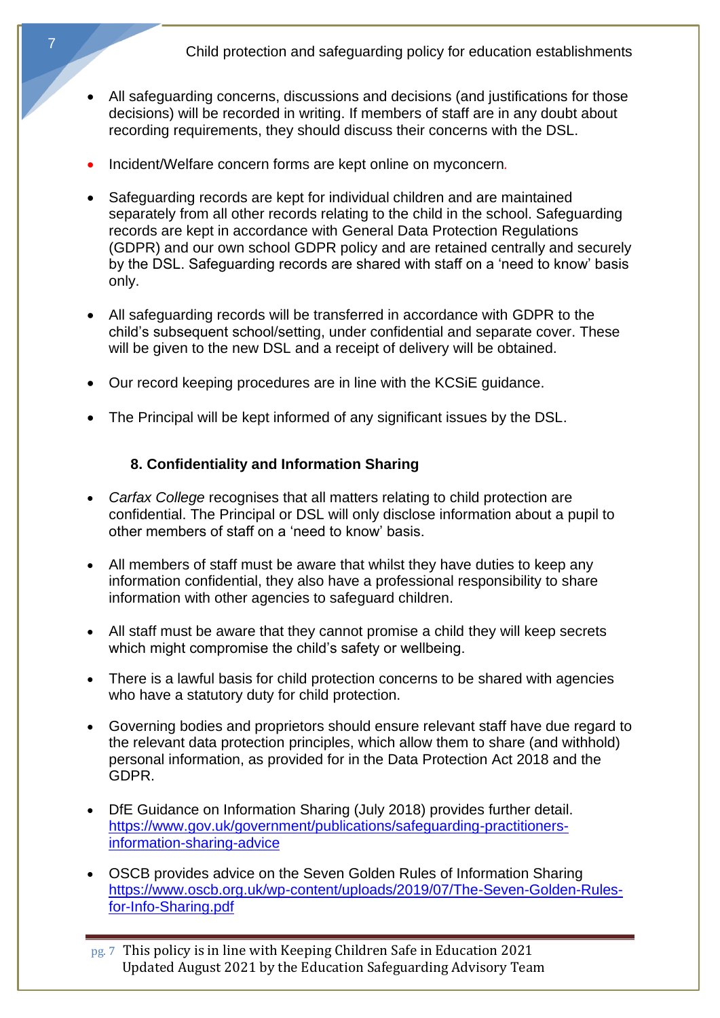- All safeguarding concerns, discussions and decisions (and justifications for those decisions) will be recorded in writing. If members of staff are in any doubt about recording requirements, they should discuss their concerns with the DSL.
- Incident/Welfare concern forms are kept online on myconcern*.*
- Safeguarding records are kept for individual children and are maintained separately from all other records relating to the child in the school. Safeguarding records are kept in accordance with General Data Protection Regulations (GDPR) and our own school GDPR policy and are retained centrally and securely by the DSL. Safeguarding records are shared with staff on a 'need to know' basis only.
- All safeguarding records will be transferred in accordance with GDPR to the child's subsequent school/setting, under confidential and separate cover. These will be given to the new DSL and a receipt of delivery will be obtained.
- Our record keeping procedures are in line with the KCSiE guidance.
- The Principal will be kept informed of any significant issues by the DSL.

## **8. Confidentiality and Information Sharing**

- *Carfax College* recognises that all matters relating to child protection are confidential. The Principal or DSL will only disclose information about a pupil to other members of staff on a 'need to know' basis.
- All members of staff must be aware that whilst they have duties to keep any information confidential, they also have a professional responsibility to share information with other agencies to safeguard children.
- All staff must be aware that they cannot promise a child they will keep secrets which might compromise the child's safety or wellbeing.
- There is a lawful basis for child protection concerns to be shared with agencies who have a statutory duty for child protection.
- Governing bodies and proprietors should ensure relevant staff have due regard to the relevant data protection principles, which allow them to share (and withhold) personal information, as provided for in the Data Protection Act 2018 and the GDPR.
- DfE Guidance on Information Sharing (July 2018) provides further detail. [https://www.gov.uk/government/publications/safeguarding-practitioners](https://www.gov.uk/government/publications/safeguarding-practitioners-information-sharing-advice)[information-sharing-advice](https://www.gov.uk/government/publications/safeguarding-practitioners-information-sharing-advice)
- OSCB provides advice on the Seven Golden Rules of Information Sharing [https://www.oscb.org.uk/wp-content/uploads/2019/07/The-Seven-Golden-Rules](https://www.oscb.org.uk/wp-content/uploads/2019/07/The-Seven-Golden-Rules-for-Info-Sharing.pdf)[for-Info-Sharing.pdf](https://www.oscb.org.uk/wp-content/uploads/2019/07/The-Seven-Golden-Rules-for-Info-Sharing.pdf)

pg. 7 This policy is in line with Keeping Children Safe in Education 2021 Updated August 2021 by the Education Safeguarding Advisory Team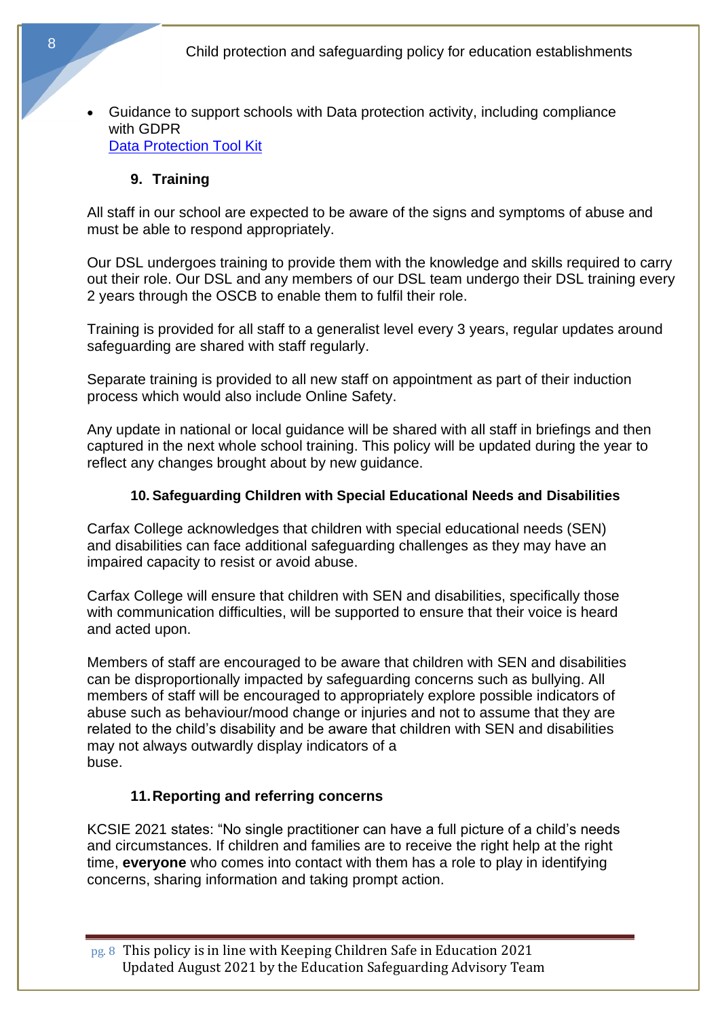• Guidance to support schools with Data protection activity, including compliance with GDPR [Data Protection Tool Kit](https://www.gov.uk/government/publications/data-protection-toolkit-for-schools) 

#### **9. Training**

All staff in our school are expected to be aware of the signs and symptoms of abuse and must be able to respond appropriately.

Our DSL undergoes training to provide them with the knowledge and skills required to carry out their role. Our DSL and any members of our DSL team undergo their DSL training every 2 years through the OSCB to enable them to fulfil their role.

Training is provided for all staff to a generalist level every 3 years, regular updates around safeguarding are shared with staff regularly.

Separate training is provided to all new staff on appointment as part of their induction process which would also include Online Safety.

Any update in national or local guidance will be shared with all staff in briefings and then captured in the next whole school training. This policy will be updated during the year to reflect any changes brought about by new guidance.

#### **10. Safeguarding Children with Special Educational Needs and Disabilities**

Carfax College acknowledges that children with special educational needs (SEN) and disabilities can face additional safeguarding challenges as they may have an impaired capacity to resist or avoid abuse.

Carfax College will ensure that children with SEN and disabilities, specifically those with communication difficulties, will be supported to ensure that their voice is heard and acted upon.

Members of staff are encouraged to be aware that children with SEN and disabilities can be disproportionally impacted by safeguarding concerns such as bullying. All members of staff will be encouraged to appropriately explore possible indicators of abuse such as behaviour/mood change or injuries and not to assume that they are related to the child's disability and be aware that children with SEN and disabilities may not always outwardly display indicators of a buse.

#### **11.Reporting and referring concerns**

KCSIE 2021 states: "No single practitioner can have a full picture of a child's needs and circumstances. If children and families are to receive the right help at the right time, **everyone** who comes into contact with them has a role to play in identifying concerns, sharing information and taking prompt action.

pg. 8 This policy is in line with Keeping Children Safe in Education 2021 Updated August 2021 by the Education Safeguarding Advisory Team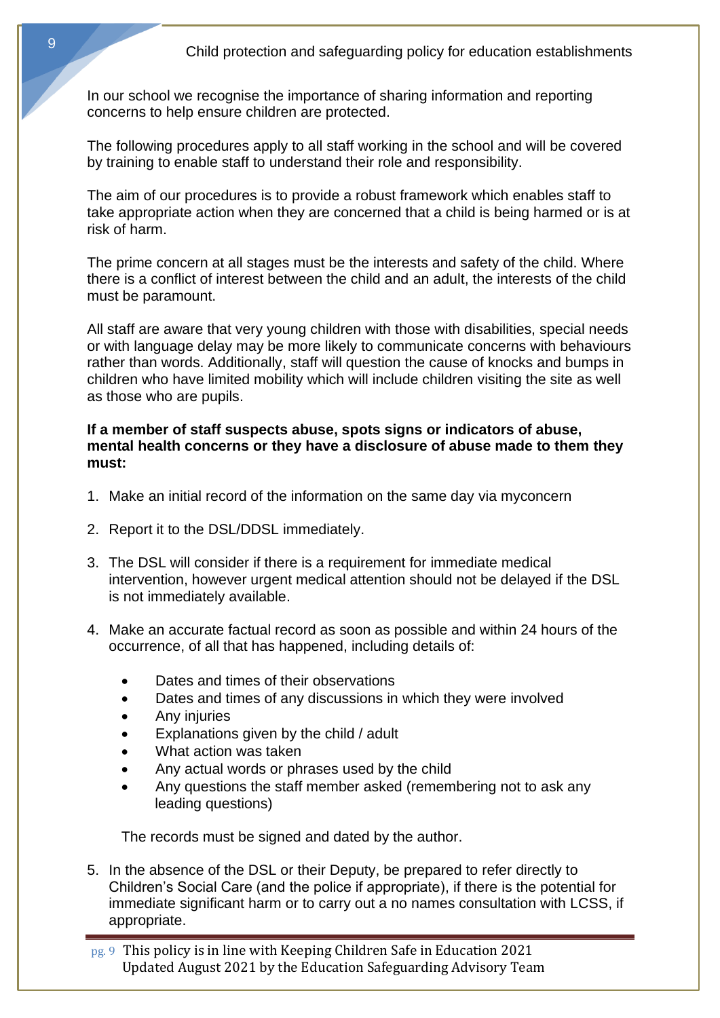In our school we recognise the importance of sharing information and reporting concerns to help ensure children are protected.

The following procedures apply to all staff working in the school and will be covered by training to enable staff to understand their role and responsibility.

The aim of our procedures is to provide a robust framework which enables staff to take appropriate action when they are concerned that a child is being harmed or is at risk of harm.

The prime concern at all stages must be the interests and safety of the child. Where there is a conflict of interest between the child and an adult, the interests of the child must be paramount.

All staff are aware that very young children with those with disabilities, special needs or with language delay may be more likely to communicate concerns with behaviours rather than words. Additionally, staff will question the cause of knocks and bumps in children who have limited mobility which will include children visiting the site as well as those who are pupils.

#### **If a member of staff suspects abuse, spots signs or indicators of abuse, mental health concerns or they have a disclosure of abuse made to them they must:**

- 1. Make an initial record of the information on the same day via myconcern
- 2. Report it to the DSL/DDSL immediately.
- 3. The DSL will consider if there is a requirement for immediate medical intervention, however urgent medical attention should not be delayed if the DSL is not immediately available.
- 4. Make an accurate factual record as soon as possible and within 24 hours of the occurrence, of all that has happened, including details of:
	- Dates and times of their observations
	- Dates and times of any discussions in which they were involved
	- Any injuries
	- Explanations given by the child / adult
	- What action was taken
	- Any actual words or phrases used by the child
	- Any questions the staff member asked (remembering not to ask any leading questions)

The records must be signed and dated by the author.

5. In the absence of the DSL or their Deputy, be prepared to refer directly to Children's Social Care (and the police if appropriate), if there is the potential for immediate significant harm or to carry out a no names consultation with LCSS, if appropriate.

pg. 9 This policy is in line with Keeping Children Safe in Education 2021 Updated August 2021 by the Education Safeguarding Advisory Team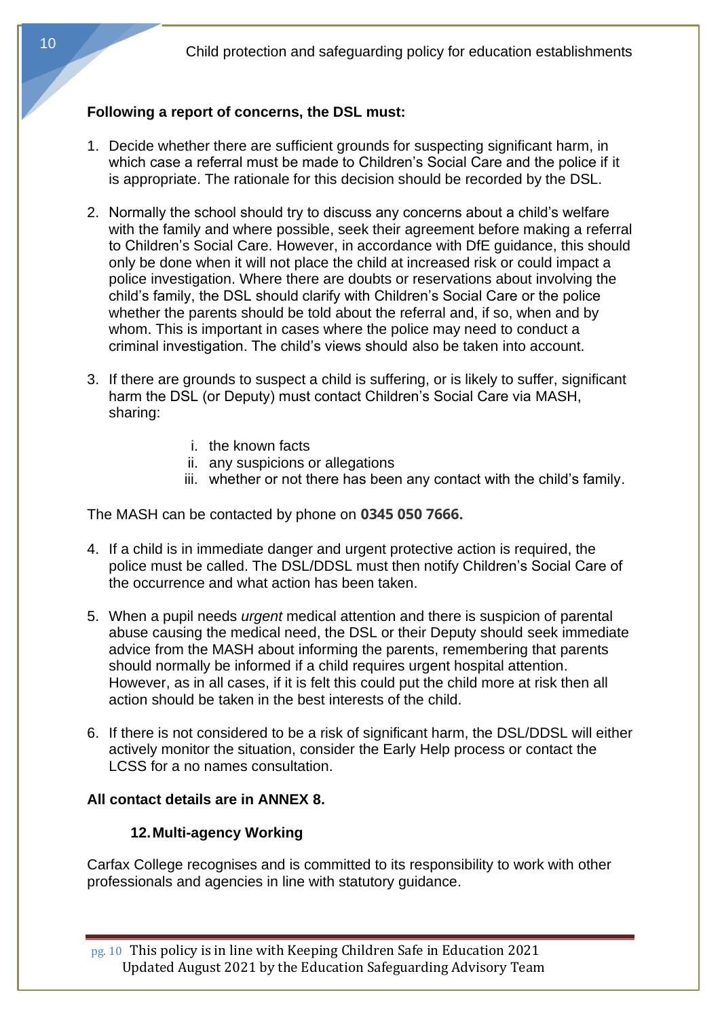## **Following a report of concerns, the DSL must:**

- 1. Decide whether there are sufficient grounds for suspecting significant harm, in which case a referral must be made to Children's Social Care and the police if it is appropriate. The rationale for this decision should be recorded by the DSL.
- 2. Normally the school should try to discuss any concerns about a child's welfare with the family and where possible, seek their agreement before making a referral to Children's Social Care. However, in accordance with DfE guidance, this should only be done when it will not place the child at increased risk or could impact a police investigation. Where there are doubts or reservations about involving the child's family, the DSL should clarify with Children's Social Care or the police whether the parents should be told about the referral and, if so, when and by whom. This is important in cases where the police may need to conduct a criminal investigation. The child's views should also be taken into account.
- 3. If there are grounds to suspect a child is suffering, or is likely to suffer, significant harm the DSL (or Deputy) must contact Children's Social Care via MASH, sharing:
	- i. the known facts
	- ii. any suspicions or allegations
	- iii. whether or not there has been any contact with the child's family.

The MASH can be contacted by phone on **0345 050 7666.**

- 4. If a child is in immediate danger and urgent protective action is required, the police must be called. The DSL/DDSL must then notify Children's Social Care of the occurrence and what action has been taken.
- 5. When a pupil needs *urgent* medical attention and there is suspicion of parental abuse causing the medical need, the DSL or their Deputy should seek immediate advice from the MASH about informing the parents, remembering that parents should normally be informed if a child requires urgent hospital attention. However, as in all cases, if it is felt this could put the child more at risk then all action should be taken in the best interests of the child.
- 6. If there is not considered to be a risk of significant harm, the DSL/DDSL will either actively monitor the situation, consider the Early Help process or contact the LCSS for a no names consultation.

#### **All contact details are in ANNEX 8.**

#### **12.Multi-agency Working**

Carfax College recognises and is committed to its responsibility to work with other professionals and agencies in line with statutory guidance.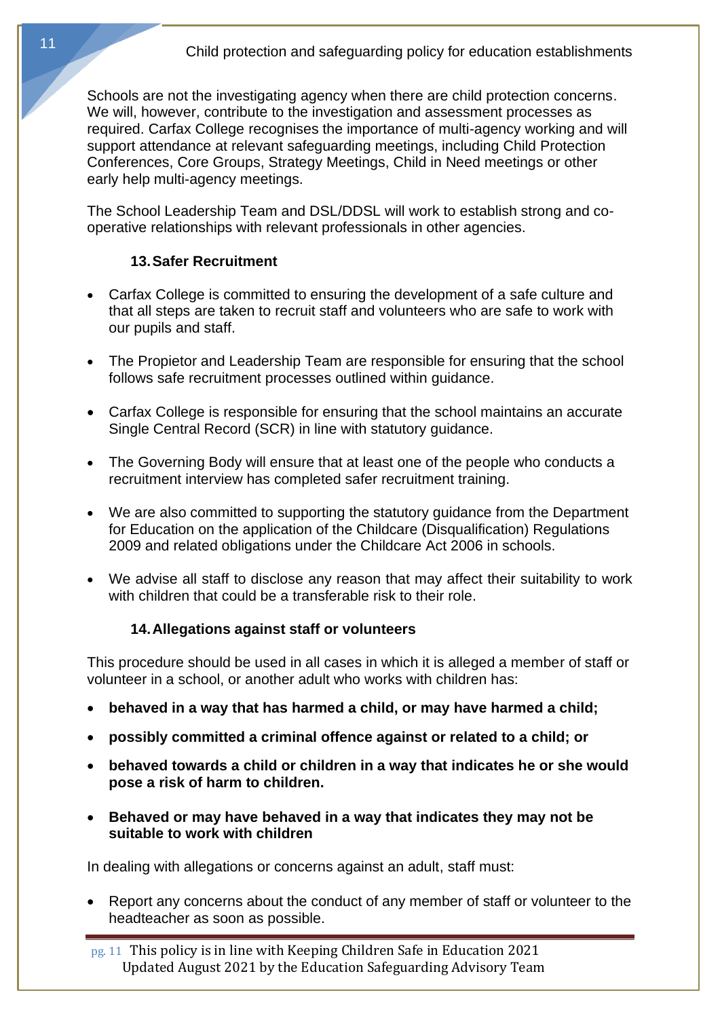Schools are not the investigating agency when there are child protection concerns. We will, however, contribute to the investigation and assessment processes as required. Carfax College recognises the importance of multi-agency working and will support attendance at relevant safeguarding meetings, including Child Protection Conferences, Core Groups, Strategy Meetings, Child in Need meetings or other early help multi-agency meetings.

The School Leadership Team and DSL/DDSL will work to establish strong and cooperative relationships with relevant professionals in other agencies.

#### **13.Safer Recruitment**

- Carfax College is committed to ensuring the development of a safe culture and that all steps are taken to recruit staff and volunteers who are safe to work with our pupils and staff.
- The Propietor and Leadership Team are responsible for ensuring that the school follows safe recruitment processes outlined within guidance.
- Carfax College is responsible for ensuring that the school maintains an accurate Single Central Record (SCR) in line with statutory guidance.
- The Governing Body will ensure that at least one of the people who conducts a recruitment interview has completed safer recruitment training.
- We are also committed to supporting the statutory guidance from the Department for Education on the application of the Childcare (Disqualification) Regulations 2009 and related obligations under the Childcare Act 2006 in schools.
- We advise all staff to disclose any reason that may affect their suitability to work with children that could be a transferable risk to their role.

## **14.Allegations against staff or volunteers**

This procedure should be used in all cases in which it is alleged a member of staff or volunteer in a school, or another adult who works with children has:

- **behaved in a way that has harmed a child, or may have harmed a child;**
- **possibly committed a criminal offence against or related to a child; or**
- **behaved towards a child or children in a way that indicates he or she would pose a risk of harm to children.**
- **Behaved or may have behaved in a way that indicates they may not be suitable to work with children**

In dealing with allegations or concerns against an adult, staff must:

• Report any concerns about the conduct of any member of staff or volunteer to the headteacher as soon as possible.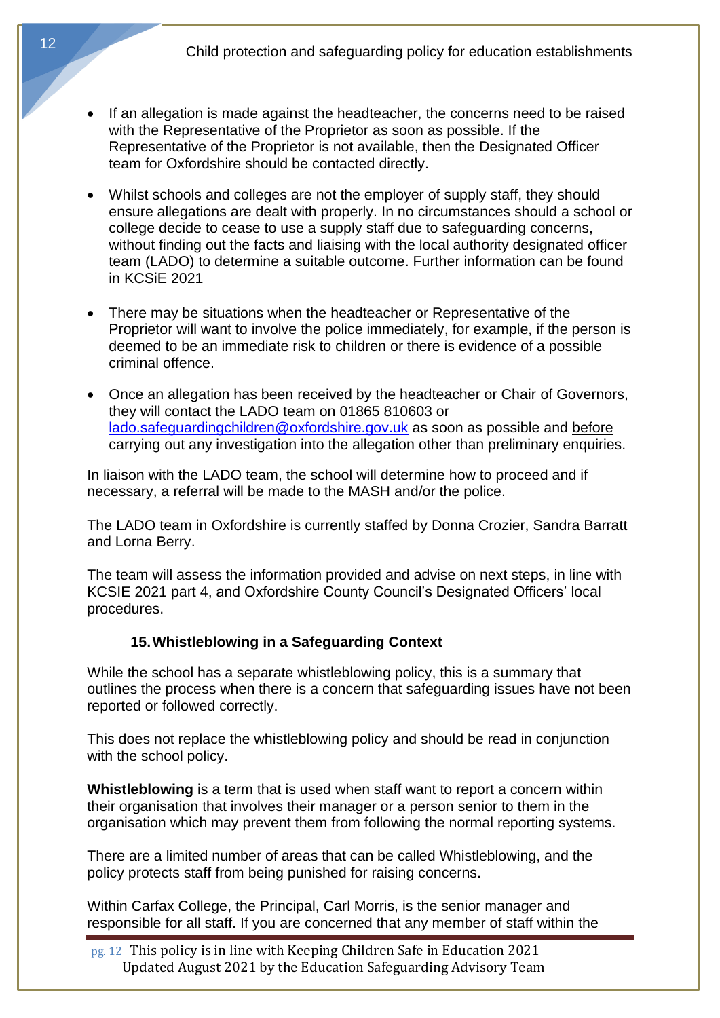- If an allegation is made against the headteacher, the concerns need to be raised with the Representative of the Proprietor as soon as possible. If the Representative of the Proprietor is not available, then the Designated Officer team for Oxfordshire should be contacted directly.
- Whilst schools and colleges are not the employer of supply staff, they should ensure allegations are dealt with properly. In no circumstances should a school or college decide to cease to use a supply staff due to safeguarding concerns, without finding out the facts and liaising with the local authority designated officer team (LADO) to determine a suitable outcome. Further information can be found in KCSiE 2021
- There may be situations when the headteacher or Representative of the Proprietor will want to involve the police immediately, for example, if the person is deemed to be an immediate risk to children or there is evidence of a possible criminal offence.
- Once an allegation has been received by the headteacher or Chair of Governors, they will contact the LADO team on 01865 810603 or [lado.safeguardingchildren@oxfordshire.gov.uk](mailto:lado.safeguardingchildren@oxfordshire.gov.uk) as soon as possible and before carrying out any investigation into the allegation other than preliminary enquiries.

In liaison with the LADO team, the school will determine how to proceed and if necessary, a referral will be made to the MASH and/or the police.

The LADO team in Oxfordshire is currently staffed by Donna Crozier, Sandra Barratt and Lorna Berry.

The team will assess the information provided and advise on next steps, in line with KCSIE 2021 part 4, and Oxfordshire County Council's Designated Officers' local procedures.

#### **15.Whistleblowing in a Safeguarding Context**

While the school has a separate whistleblowing policy, this is a summary that outlines the process when there is a concern that safeguarding issues have not been reported or followed correctly.

This does not replace the whistleblowing policy and should be read in conjunction with the school policy.

**Whistleblowing** is a term that is used when staff want to report a concern within their organisation that involves their manager or a person senior to them in the organisation which may prevent them from following the normal reporting systems.

There are a limited number of areas that can be called Whistleblowing, and the policy protects staff from being punished for raising concerns.

Within Carfax College, the Principal, Carl Morris, is the senior manager and responsible for all staff. If you are concerned that any member of staff within the

pg. 12 This policy is in line with Keeping Children Safe in Education 2021 Updated August 2021 by the Education Safeguarding Advisory Team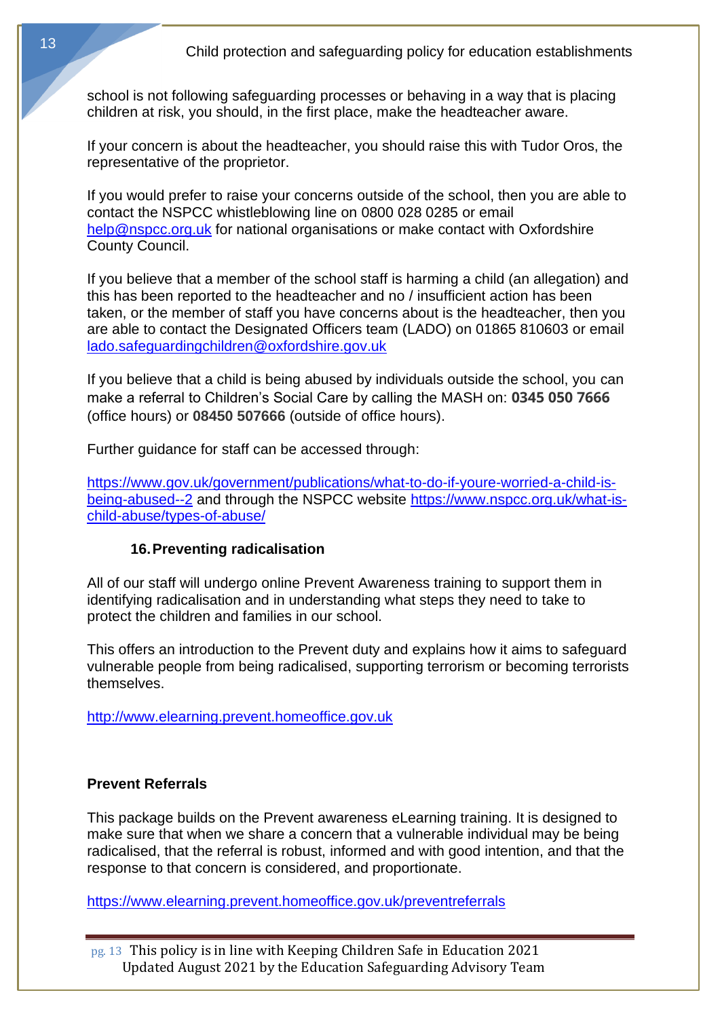school is not following safeguarding processes or behaving in a way that is placing children at risk, you should, in the first place, make the headteacher aware.

If your concern is about the headteacher, you should raise this with Tudor Oros, the representative of the proprietor.

If you would prefer to raise your concerns outside of the school, then you are able to contact the NSPCC whistleblowing line on 0800 028 0285 or email [help@nspcc.org.uk](mailto:help@nspcc.org.uk) for national organisations or make contact with Oxfordshire County Council.

If you believe that a member of the school staff is harming a child (an allegation) and this has been reported to the headteacher and no / insufficient action has been taken, or the member of staff you have concerns about is the headteacher, then you are able to contact the Designated Officers team (LADO) on 01865 810603 or email [lado.safeguardingchildren@oxfordshire.gov.uk](mailto:lado.safeguardingchildren@oxfordshire.gov.uk)

If you believe that a child is being abused by individuals outside the school, you can make a referral to Children's Social Care by calling the MASH on: **0345 050 7666** (office hours) or **08450 507666** (outside of office hours).

Further guidance for staff can be accessed through:

[https://www.gov.uk/government/publications/what-to-do-if-youre-worried-a-child-is](https://www.gov.uk/government/publications/what-to-do-if-youre-worried-a-child-is-being-abused--2)[being-abused--2](https://www.gov.uk/government/publications/what-to-do-if-youre-worried-a-child-is-being-abused--2) and through the NSPCC website [https://www.nspcc.org.uk/what-is](https://www.nspcc.org.uk/what-is-child-abuse/types-of-abuse/)[child-abuse/types-of-abuse/](https://www.nspcc.org.uk/what-is-child-abuse/types-of-abuse/)

#### **16.Preventing radicalisation**

All of our staff will undergo online Prevent Awareness training to support them in identifying radicalisation and in understanding what steps they need to take to protect the children and families in our school.

This offers an introduction to the Prevent duty and explains how it aims to safeguard vulnerable people from being radicalised, supporting terrorism or becoming terrorists themselves.

[http://www.elearning.prevent.homeoffice.gov.uk](http://www.elearning.prevent.homeoffice.gov.uk/)

#### **Prevent Referrals**

This package builds on the Prevent awareness eLearning training. It is designed to make sure that when we share a concern that a vulnerable individual may be being radicalised, that the referral is robust, informed and with good intention, and that the response to that concern is considered, and proportionate.

<https://www.elearning.prevent.homeoffice.gov.uk/preventreferrals>

pg. 13 This policy is in line with Keeping Children Safe in Education 2021 Updated August 2021 by the Education Safeguarding Advisory Team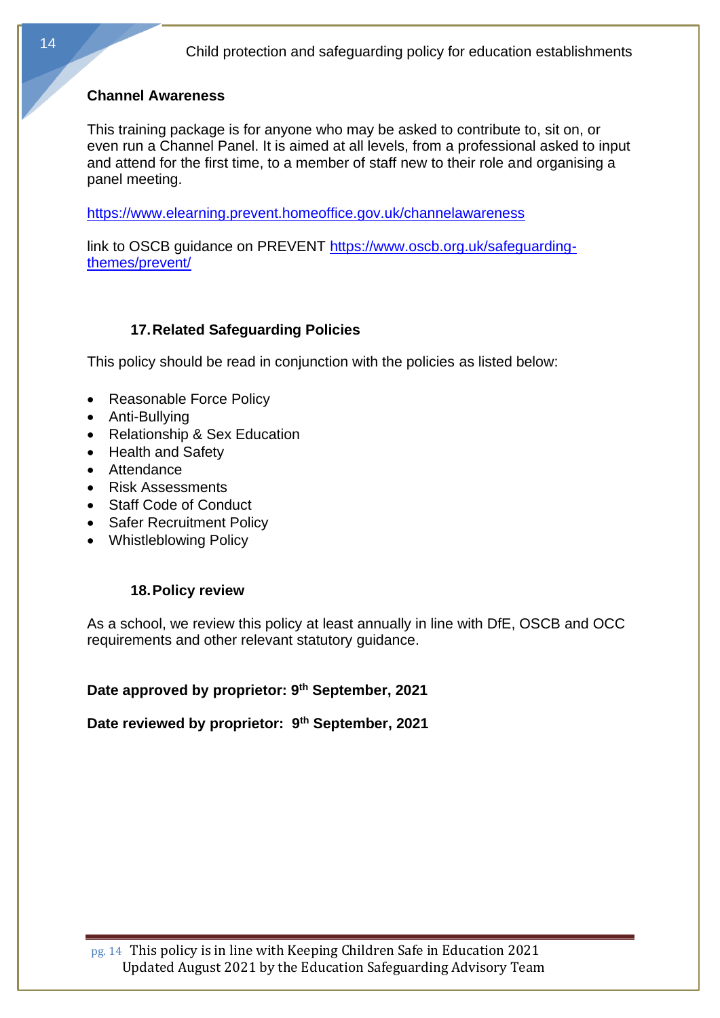#### **Channel Awareness**

This training package is for anyone who may be asked to contribute to, sit on, or even run a Channel Panel. It is aimed at all levels, from a professional asked to input and attend for the first time, to a member of staff new to their role and organising a panel meeting.

<https://www.elearning.prevent.homeoffice.gov.uk/channelawareness>

link to OSCB guidance on PREVENT [https://www.oscb.org.uk/safeguarding](https://www.oscb.org.uk/safeguarding-themes/prevent/)[themes/prevent/](https://www.oscb.org.uk/safeguarding-themes/prevent/)

#### **17.Related Safeguarding Policies**

This policy should be read in conjunction with the policies as listed below:

- Reasonable Force Policy
- Anti-Bullying
- Relationship & Sex Education
- Health and Safety
- Attendance
- Risk Assessments
- Staff Code of Conduct
- Safer Recruitment Policy
- Whistleblowing Policy

#### **18.Policy review**

As a school, we review this policy at least annually in line with DfE, OSCB and OCC requirements and other relevant statutory guidance.

#### **Date approved by proprietor: 9 th September, 2021**

**Date reviewed by proprietor: 9 th September, 2021**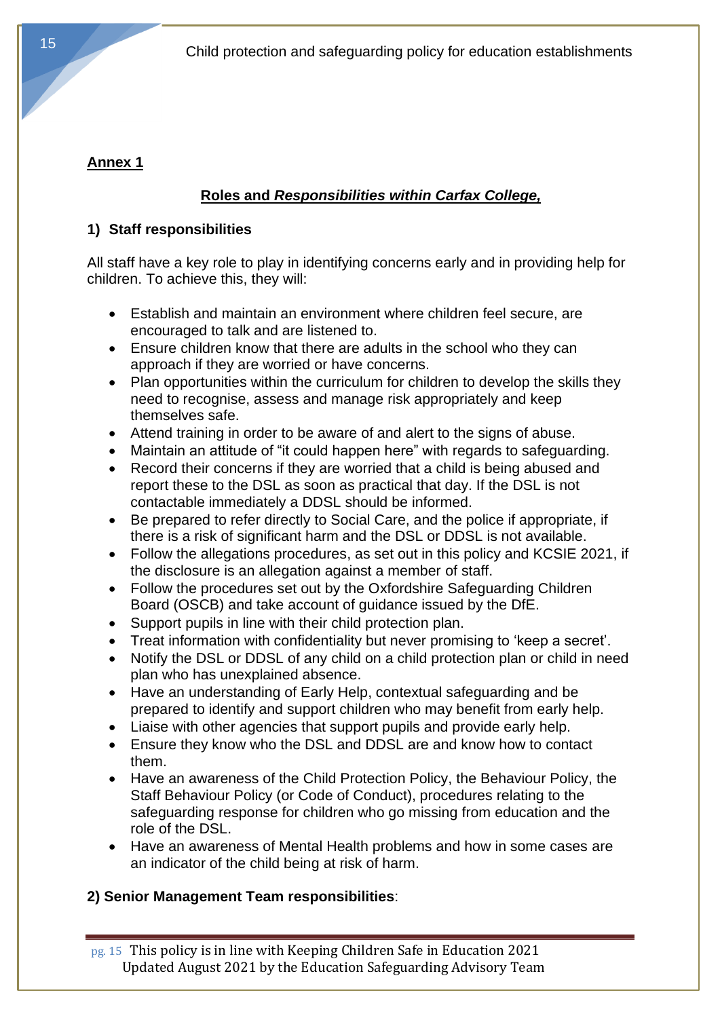# **Annex 1**

# **Roles and** *Responsibilities within Carfax College,*

## **1) Staff responsibilities**

All staff have a key role to play in identifying concerns early and in providing help for children. To achieve this, they will:

- Establish and maintain an environment where children feel secure, are encouraged to talk and are listened to.
- Ensure children know that there are adults in the school who they can approach if they are worried or have concerns.
- Plan opportunities within the curriculum for children to develop the skills they need to recognise, assess and manage risk appropriately and keep themselves safe.
- Attend training in order to be aware of and alert to the signs of abuse.
- Maintain an attitude of "it could happen here" with regards to safeguarding.
- Record their concerns if they are worried that a child is being abused and report these to the DSL as soon as practical that day. If the DSL is not contactable immediately a DDSL should be informed.
- Be prepared to refer directly to Social Care, and the police if appropriate, if there is a risk of significant harm and the DSL or DDSL is not available.
- Follow the allegations procedures, as set out in this policy and KCSIE 2021, if the disclosure is an allegation against a member of staff.
- Follow the procedures set out by the Oxfordshire Safeguarding Children Board (OSCB) and take account of guidance issued by the DfE.
- Support pupils in line with their child protection plan.
- Treat information with confidentiality but never promising to 'keep a secret'.
- Notify the DSL or DDSL of any child on a child protection plan or child in need plan who has unexplained absence.
- Have an understanding of Early Help, contextual safeguarding and be prepared to identify and support children who may benefit from early help.
- Liaise with other agencies that support pupils and provide early help.
- Ensure they know who the DSL and DDSL are and know how to contact them.
- Have an awareness of the Child Protection Policy, the Behaviour Policy, the Staff Behaviour Policy (or Code of Conduct), procedures relating to the safeguarding response for children who go missing from education and the role of the DSL.
- Have an awareness of Mental Health problems and how in some cases are an indicator of the child being at risk of harm.

# **2) Senior Management Team responsibilities**:

pg. 15 This policy is in line with Keeping Children Safe in Education 2021 Updated August 2021 by the Education Safeguarding Advisory Team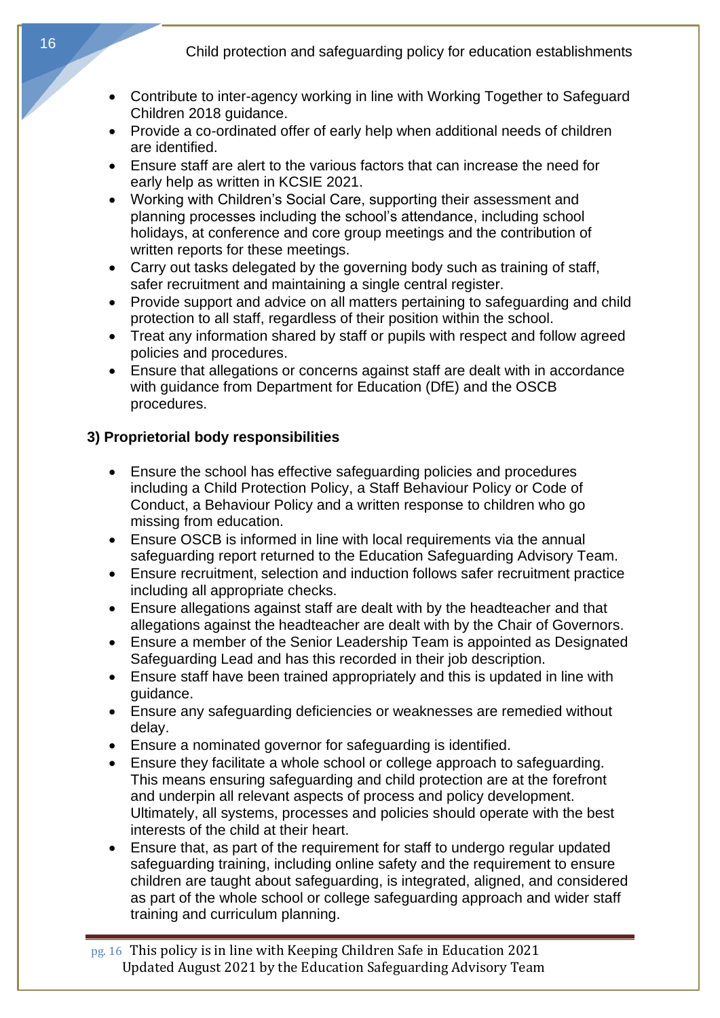- Contribute to inter-agency working in line with Working Together to Safeguard Children 2018 guidance.
- Provide a co-ordinated offer of early help when additional needs of children are identified.
- Ensure staff are alert to the various factors that can increase the need for early help as written in KCSIE 2021.
- Working with Children's Social Care, supporting their assessment and planning processes including the school's attendance, including school holidays, at conference and core group meetings and the contribution of written reports for these meetings.
- Carry out tasks delegated by the governing body such as training of staff, safer recruitment and maintaining a single central register.
- Provide support and advice on all matters pertaining to safeguarding and child protection to all staff, regardless of their position within the school.
- Treat any information shared by staff or pupils with respect and follow agreed policies and procedures.
- Ensure that allegations or concerns against staff are dealt with in accordance with guidance from Department for Education (DfE) and the OSCB procedures.

## **3) Proprietorial body responsibilities**

- Ensure the school has effective safeguarding policies and procedures including a Child Protection Policy, a Staff Behaviour Policy or Code of Conduct, a Behaviour Policy and a written response to children who go missing from education.
- Ensure OSCB is informed in line with local requirements via the annual safeguarding report returned to the Education Safeguarding Advisory Team.
- Ensure recruitment, selection and induction follows safer recruitment practice including all appropriate checks.
- Ensure allegations against staff are dealt with by the headteacher and that allegations against the headteacher are dealt with by the Chair of Governors.
- Ensure a member of the Senior Leadership Team is appointed as Designated Safeguarding Lead and has this recorded in their job description.
- Ensure staff have been trained appropriately and this is updated in line with guidance.
- Ensure any safeguarding deficiencies or weaknesses are remedied without delay.
- Ensure a nominated governor for safeguarding is identified.
- Ensure they facilitate a whole school or college approach to safeguarding. This means ensuring safeguarding and child protection are at the forefront and underpin all relevant aspects of process and policy development. Ultimately, all systems, processes and policies should operate with the best interests of the child at their heart.
- Ensure that, as part of the requirement for staff to undergo regular updated safeguarding training, including online safety and the requirement to ensure children are taught about safeguarding, is integrated, aligned, and considered as part of the whole school or college safeguarding approach and wider staff training and curriculum planning.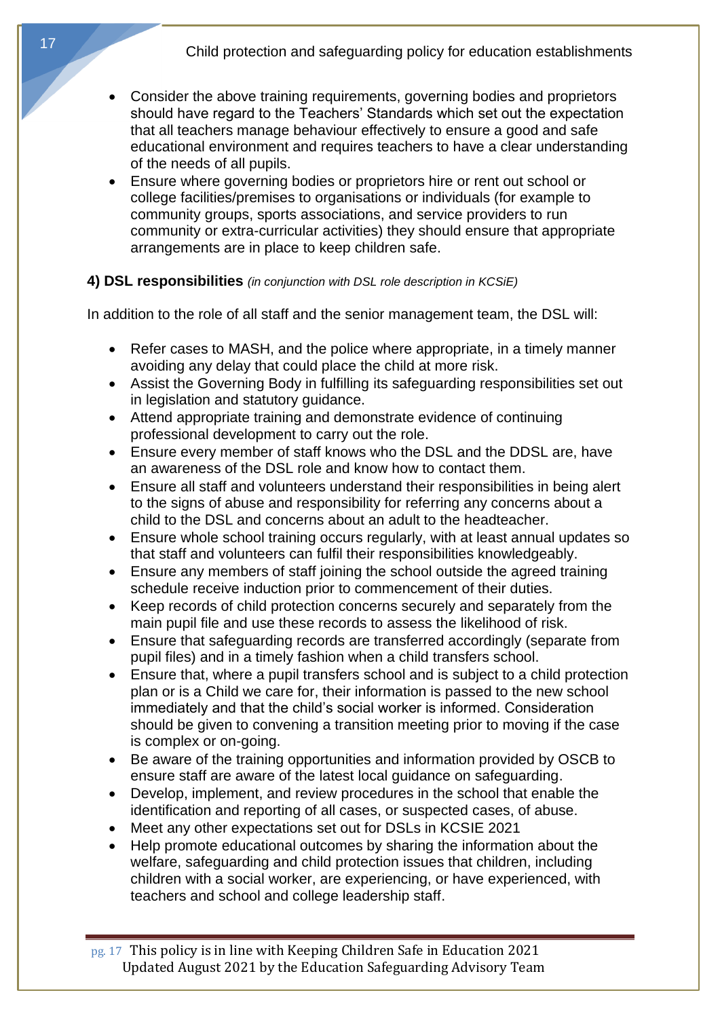- Consider the above training requirements, governing bodies and proprietors should have regard to the Teachers' Standards which set out the expectation that all teachers manage behaviour effectively to ensure a good and safe educational environment and requires teachers to have a clear understanding of the needs of all pupils.
- Ensure where governing bodies or proprietors hire or rent out school or college facilities/premises to organisations or individuals (for example to community groups, sports associations, and service providers to run community or extra-curricular activities) they should ensure that appropriate arrangements are in place to keep children safe.

#### **4) DSL responsibilities** *(in conjunction with DSL role description in KCSiE)*

In addition to the role of all staff and the senior management team, the DSL will:

- Refer cases to MASH, and the police where appropriate, in a timely manner avoiding any delay that could place the child at more risk.
- Assist the Governing Body in fulfilling its safeguarding responsibilities set out in legislation and statutory guidance.
- Attend appropriate training and demonstrate evidence of continuing professional development to carry out the role.
- Ensure every member of staff knows who the DSL and the DDSL are, have an awareness of the DSL role and know how to contact them.
- Ensure all staff and volunteers understand their responsibilities in being alert to the signs of abuse and responsibility for referring any concerns about a child to the DSL and concerns about an adult to the headteacher.
- Ensure whole school training occurs regularly, with at least annual updates so that staff and volunteers can fulfil their responsibilities knowledgeably.
- Ensure any members of staff joining the school outside the agreed training schedule receive induction prior to commencement of their duties.
- Keep records of child protection concerns securely and separately from the main pupil file and use these records to assess the likelihood of risk.
- Ensure that safeguarding records are transferred accordingly (separate from pupil files) and in a timely fashion when a child transfers school.
- Ensure that, where a pupil transfers school and is subject to a child protection plan or is a Child we care for, their information is passed to the new school immediately and that the child's social worker is informed. Consideration should be given to convening a transition meeting prior to moving if the case is complex or on-going.
- Be aware of the training opportunities and information provided by OSCB to ensure staff are aware of the latest local guidance on safeguarding.
- Develop, implement, and review procedures in the school that enable the identification and reporting of all cases, or suspected cases, of abuse.
- Meet any other expectations set out for DSLs in KCSIE 2021
- Help promote educational outcomes by sharing the information about the welfare, safeguarding and child protection issues that children, including children with a social worker, are experiencing, or have experienced, with teachers and school and college leadership staff.

pg. 17 This policy is in line with Keeping Children Safe in Education 2021 Updated August 2021 by the Education Safeguarding Advisory Team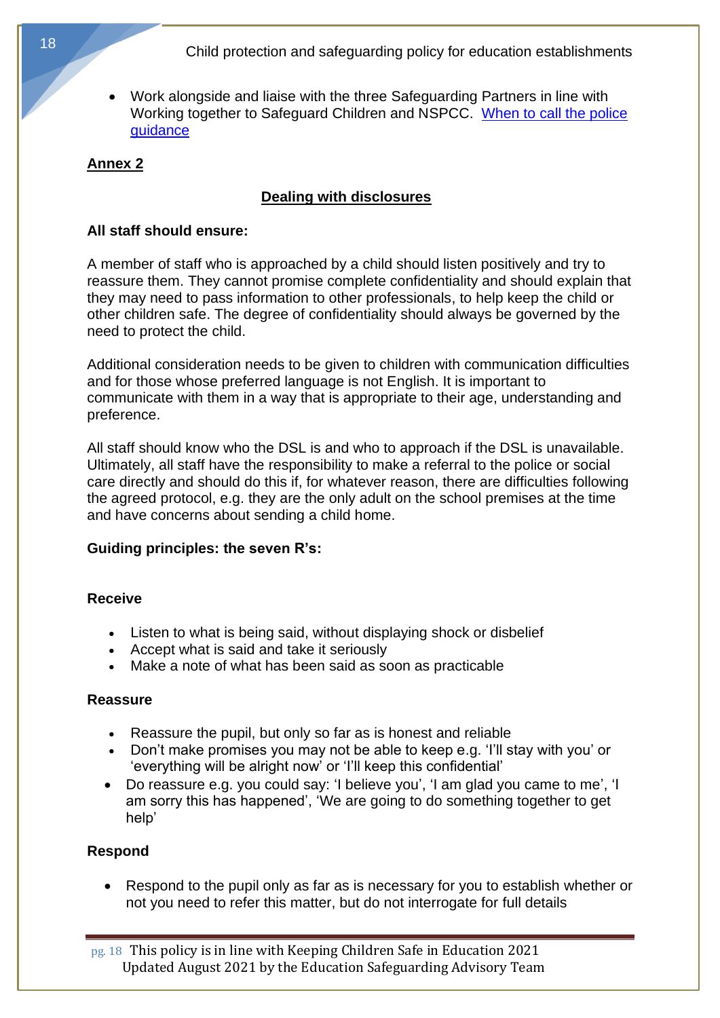• Work alongside and liaise with the three Safeguarding Partners in line with Working together to Safeguard Children and NSPCC. [When to call the police](https://www.npcc.police.uk/documents/Children%20and%20Young%20people/When%20to%20call%20the%20police%20guidance%20for%20schools%20and%20colleges.pdf)  [guidance](https://www.npcc.police.uk/documents/Children%20and%20Young%20people/When%20to%20call%20the%20police%20guidance%20for%20schools%20and%20colleges.pdf) 

#### **Annex 2**

## **Dealing with disclosures**

#### **All staff should ensure:**

A member of staff who is approached by a child should listen positively and try to reassure them. They cannot promise complete confidentiality and should explain that they may need to pass information to other professionals, to help keep the child or other children safe. The degree of confidentiality should always be governed by the need to protect the child.

Additional consideration needs to be given to children with communication difficulties and for those whose preferred language is not English. It is important to communicate with them in a way that is appropriate to their age, understanding and preference.

All staff should know who the DSL is and who to approach if the DSL is unavailable. Ultimately, all staff have the responsibility to make a referral to the police or social care directly and should do this if, for whatever reason, there are difficulties following the agreed protocol, e.g. they are the only adult on the school premises at the time and have concerns about sending a child home.

#### **Guiding principles: the seven R's:**

#### **Receive**

- Listen to what is being said, without displaying shock or disbelief
- Accept what is said and take it seriously
- Make a note of what has been said as soon as practicable

#### **Reassure**

- Reassure the pupil, but only so far as is honest and reliable
- Don't make promises you may not be able to keep e.g. 'I'll stay with you' or 'everything will be alright now' or 'I'll keep this confidential'
- Do reassure e.g. you could say: 'I believe you', 'I am glad you came to me', 'I am sorry this has happened', 'We are going to do something together to get help'

#### **Respond**

• Respond to the pupil only as far as is necessary for you to establish whether or not you need to refer this matter, but do not interrogate for full details

pg. 18 This policy is in line with Keeping Children Safe in Education 2021 Updated August 2021 by the Education Safeguarding Advisory Team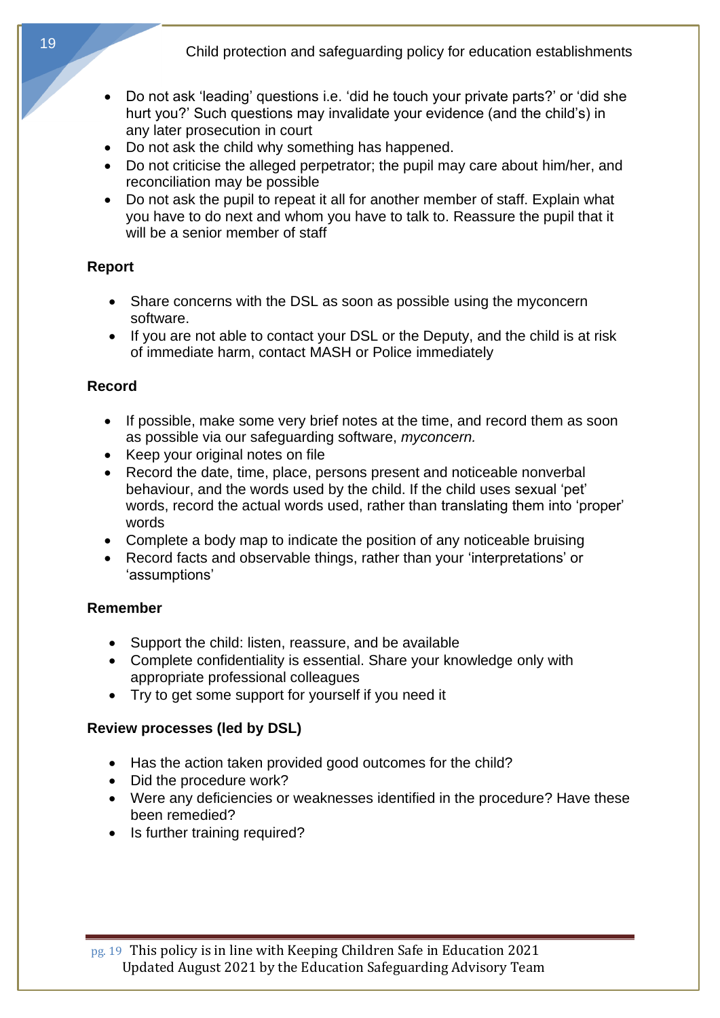- Do not ask 'leading' questions i.e. 'did he touch your private parts?' or 'did she hurt you?' Such questions may invalidate your evidence (and the child's) in any later prosecution in court
- Do not ask the child why something has happened.
- Do not criticise the alleged perpetrator; the pupil may care about him/her, and reconciliation may be possible
- Do not ask the pupil to repeat it all for another member of staff. Explain what you have to do next and whom you have to talk to. Reassure the pupil that it will be a senior member of staff

#### **Report**

- Share concerns with the DSL as soon as possible using the myconcern software.
- If you are not able to contact your DSL or the Deputy, and the child is at risk of immediate harm, contact MASH or Police immediately

## **Record**

- If possible, make some very brief notes at the time, and record them as soon as possible via our safeguarding software, *myconcern.*
- Keep your original notes on file
- Record the date, time, place, persons present and noticeable nonverbal behaviour, and the words used by the child. If the child uses sexual 'pet' words, record the actual words used, rather than translating them into 'proper' words
- Complete a body map to indicate the position of any noticeable bruising
- Record facts and observable things, rather than your 'interpretations' or 'assumptions'

## **Remember**

- Support the child: listen, reassure, and be available
- Complete confidentiality is essential. Share your knowledge only with appropriate professional colleagues
- Try to get some support for yourself if you need it

## **Review processes (led by DSL)**

- Has the action taken provided good outcomes for the child?
- Did the procedure work?
- Were any deficiencies or weaknesses identified in the procedure? Have these been remedied?
- Is further training required?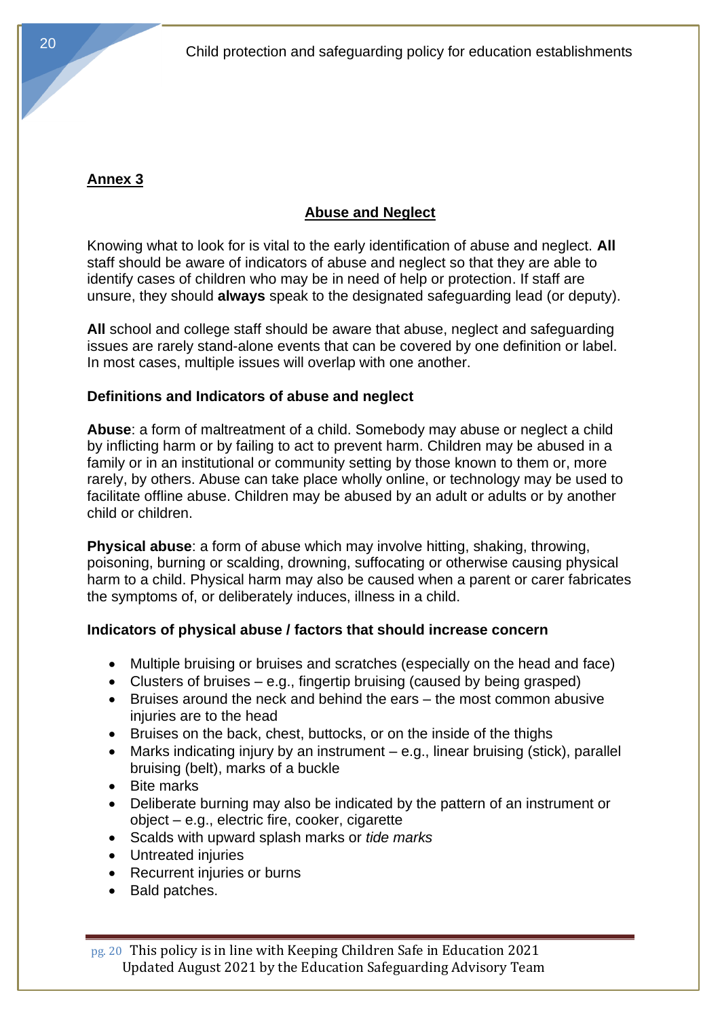# **Annex 3**

# **Abuse and Neglect**

Knowing what to look for is vital to the early identification of abuse and neglect. **All** staff should be aware of indicators of abuse and neglect so that they are able to identify cases of children who may be in need of help or protection. If staff are unsure, they should **always** speak to the designated safeguarding lead (or deputy).

**All** school and college staff should be aware that abuse, neglect and safeguarding issues are rarely stand-alone events that can be covered by one definition or label. In most cases, multiple issues will overlap with one another.

## **Definitions and Indicators of abuse and neglect**

**Abuse**: a form of maltreatment of a child. Somebody may abuse or neglect a child by inflicting harm or by failing to act to prevent harm. Children may be abused in a family or in an institutional or community setting by those known to them or, more rarely, by others. Abuse can take place wholly online, or technology may be used to facilitate offline abuse. Children may be abused by an adult or adults or by another child or children.

**Physical abuse**: a form of abuse which may involve hitting, shaking, throwing, poisoning, burning or scalding, drowning, suffocating or otherwise causing physical harm to a child. Physical harm may also be caused when a parent or carer fabricates the symptoms of, or deliberately induces, illness in a child.

## **Indicators of physical abuse / factors that should increase concern**

- Multiple bruising or bruises and scratches (especially on the head and face)
- Clusters of bruises  $-$  e.g., fingertip bruising (caused by being grasped)
- Bruises around the neck and behind the ears the most common abusive injuries are to the head
- Bruises on the back, chest, buttocks, or on the inside of the thighs
- Marks indicating injury by an instrument e.g., linear bruising (stick), parallel bruising (belt), marks of a buckle
- Bite marks
- Deliberate burning may also be indicated by the pattern of an instrument or object – e.g., electric fire, cooker, cigarette
- Scalds with upward splash marks or *tide marks*
- Untreated injuries
- Recurrent injuries or burns
- Bald patches.

pg. 20 This policy is in line with Keeping Children Safe in Education 2021 Updated August 2021 by the Education Safeguarding Advisory Team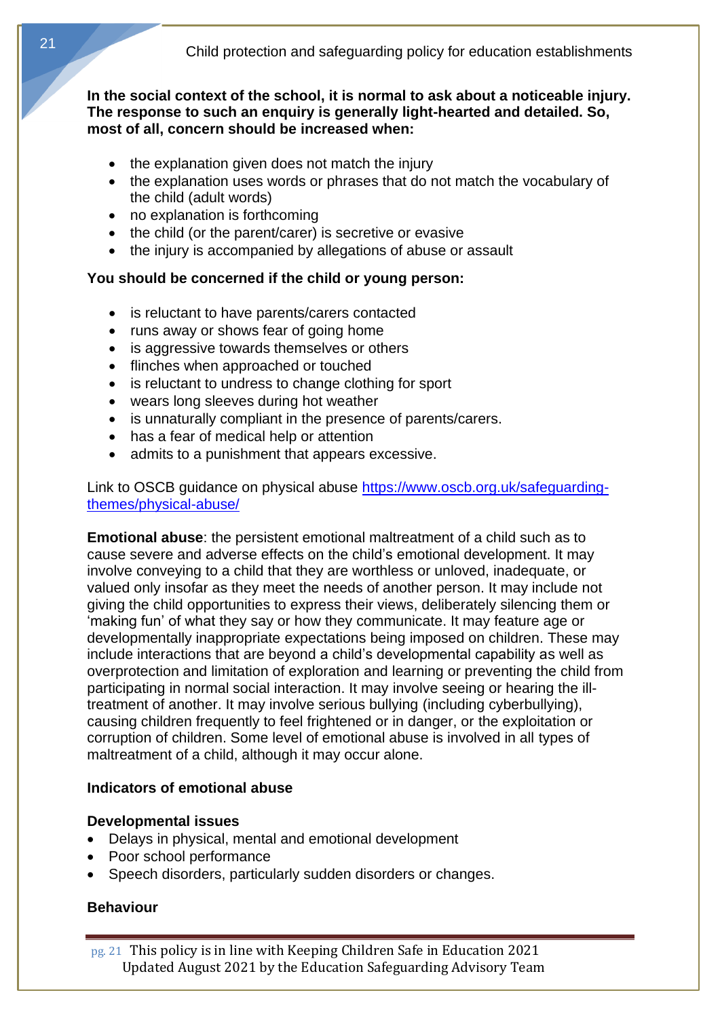**In the social context of the school, it is normal to ask about a noticeable injury. The response to such an enquiry is generally light-hearted and detailed. So, most of all, concern should be increased when:** 

- the explanation given does not match the injury
- the explanation uses words or phrases that do not match the vocabulary of the child (adult words)
- no explanation is forthcoming
- the child (or the parent/carer) is secretive or evasive
- the injury is accompanied by allegations of abuse or assault

## **You should be concerned if the child or young person:**

- is reluctant to have parents/carers contacted
- runs away or shows fear of going home
- is aggressive towards themselves or others
- flinches when approached or touched
- is reluctant to undress to change clothing for sport
- wears long sleeves during hot weather
- is unnaturally compliant in the presence of parents/carers.
- has a fear of medical help or attention
- admits to a punishment that appears excessive.

Link to OSCB guidance on physical abuse [https://www.oscb.org.uk/safeguarding](https://www.oscb.org.uk/safeguarding-themes/physical-abuse/)[themes/physical-abuse/](https://www.oscb.org.uk/safeguarding-themes/physical-abuse/)

**Emotional abuse**: the persistent emotional maltreatment of a child such as to cause severe and adverse effects on the child's emotional development. It may involve conveying to a child that they are worthless or unloved, inadequate, or valued only insofar as they meet the needs of another person. It may include not giving the child opportunities to express their views, deliberately silencing them or 'making fun' of what they say or how they communicate. It may feature age or developmentally inappropriate expectations being imposed on children. These may include interactions that are beyond a child's developmental capability as well as overprotection and limitation of exploration and learning or preventing the child from participating in normal social interaction. It may involve seeing or hearing the illtreatment of another. It may involve serious bullying (including cyberbullying), causing children frequently to feel frightened or in danger, or the exploitation or corruption of children. Some level of emotional abuse is involved in all types of maltreatment of a child, although it may occur alone.

## **Indicators of emotional abuse**

#### **Developmental issues**

- Delays in physical, mental and emotional development
- Poor school performance
- Speech disorders, particularly sudden disorders or changes.

## **Behaviour**

pg. 21 This policy is in line with Keeping Children Safe in Education 2021 Updated August 2021 by the Education Safeguarding Advisory Team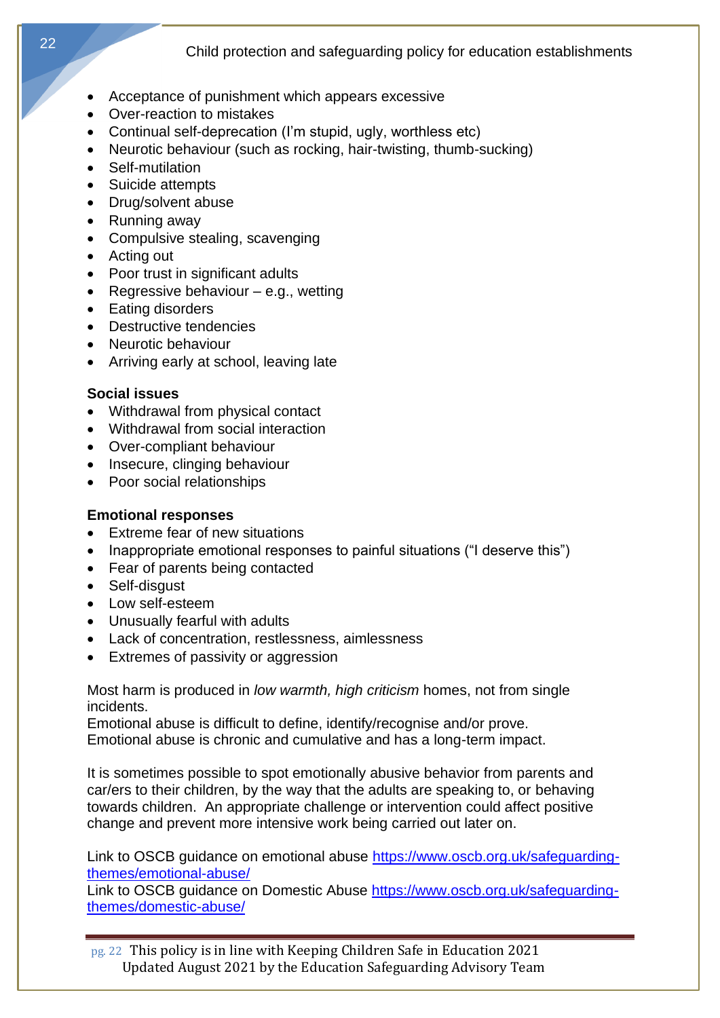- Acceptance of punishment which appears excessive
- Over-reaction to mistakes
- Continual self-deprecation (I'm stupid, ugly, worthless etc)
- Neurotic behaviour (such as rocking, hair-twisting, thumb-sucking)
- Self-mutilation
- Suicide attempts
- Drug/solvent abuse
- Running away
- Compulsive stealing, scavenging
- Acting out
- Poor trust in significant adults
- Regressive behaviour  $-$  e.g., wetting
- Eating disorders
- Destructive tendencies
- Neurotic behaviour
- Arriving early at school, leaving late

#### **Social issues**

- Withdrawal from physical contact
- Withdrawal from social interaction
- Over-compliant behaviour
- Insecure, clinging behaviour
- Poor social relationships

#### **Emotional responses**

- Extreme fear of new situations
- Inappropriate emotional responses to painful situations ("I deserve this")
- Fear of parents being contacted
- Self-disgust
- Low self-esteem
- Unusually fearful with adults
- Lack of concentration, restlessness, aimlessness
- Extremes of passivity or aggression

Most harm is produced in *low warmth, high criticism* homes, not from single incidents.

Emotional abuse is difficult to define, identify/recognise and/or prove.

Emotional abuse is chronic and cumulative and has a long-term impact.

It is sometimes possible to spot emotionally abusive behavior from parents and car/ers to their children, by the way that the adults are speaking to, or behaving towards children. An appropriate challenge or intervention could affect positive change and prevent more intensive work being carried out later on.

Link to OSCB guidance on emotional abuse [https://www.oscb.org.uk/safeguarding](https://www.oscb.org.uk/safeguarding-themes/emotional-abuse/)[themes/emotional-abuse/](https://www.oscb.org.uk/safeguarding-themes/emotional-abuse/)

Link to OSCB guidance on Domestic Abuse [https://www.oscb.org.uk/safeguarding](https://www.oscb.org.uk/safeguarding-themes/domestic-abuse/)[themes/domestic-abuse/](https://www.oscb.org.uk/safeguarding-themes/domestic-abuse/)

pg. 22 This policy is in line with Keeping Children Safe in Education 2021 Updated August 2021 by the Education Safeguarding Advisory Team

22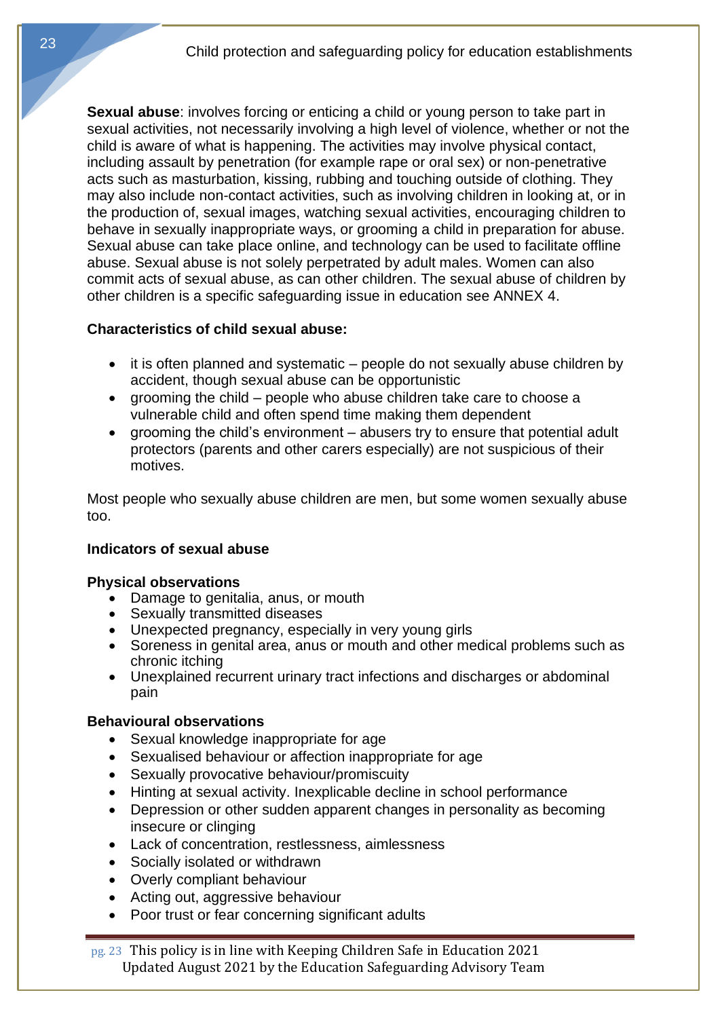**Sexual abuse**: involves forcing or enticing a child or young person to take part in sexual activities, not necessarily involving a high level of violence, whether or not the child is aware of what is happening. The activities may involve physical contact, including assault by penetration (for example rape or oral sex) or non-penetrative acts such as masturbation, kissing, rubbing and touching outside of clothing. They may also include non-contact activities, such as involving children in looking at, or in the production of, sexual images, watching sexual activities, encouraging children to behave in sexually inappropriate ways, or grooming a child in preparation for abuse. Sexual abuse can take place online, and technology can be used to facilitate offline abuse. Sexual abuse is not solely perpetrated by adult males. Women can also commit acts of sexual abuse, as can other children. The sexual abuse of children by other children is a specific safeguarding issue in education see ANNEX 4.

#### **Characteristics of child sexual abuse:**

- it is often planned and systematic people do not sexually abuse children by accident, though sexual abuse can be opportunistic
- grooming the child people who abuse children take care to choose a vulnerable child and often spend time making them dependent
- grooming the child's environment abusers try to ensure that potential adult protectors (parents and other carers especially) are not suspicious of their motives.

Most people who sexually abuse children are men, but some women sexually abuse too.

#### **Indicators of sexual abuse**

#### **Physical observations**

- Damage to genitalia, anus, or mouth
- Sexually transmitted diseases
- Unexpected pregnancy, especially in very young girls
- Soreness in genital area, anus or mouth and other medical problems such as chronic itching
- Unexplained recurrent urinary tract infections and discharges or abdominal pain

#### **Behavioural observations**

- Sexual knowledge inappropriate for age
- Sexualised behaviour or affection inappropriate for age
- Sexually provocative behaviour/promiscuity
- Hinting at sexual activity. Inexplicable decline in school performance
- Depression or other sudden apparent changes in personality as becoming insecure or clinging
- Lack of concentration, restlessness, aimlessness
- Socially isolated or withdrawn
- Overly compliant behaviour
- Acting out, aggressive behaviour
- Poor trust or fear concerning significant adults

pg. 23 This policy is in line with Keeping Children Safe in Education 2021 Updated August 2021 by the Education Safeguarding Advisory Team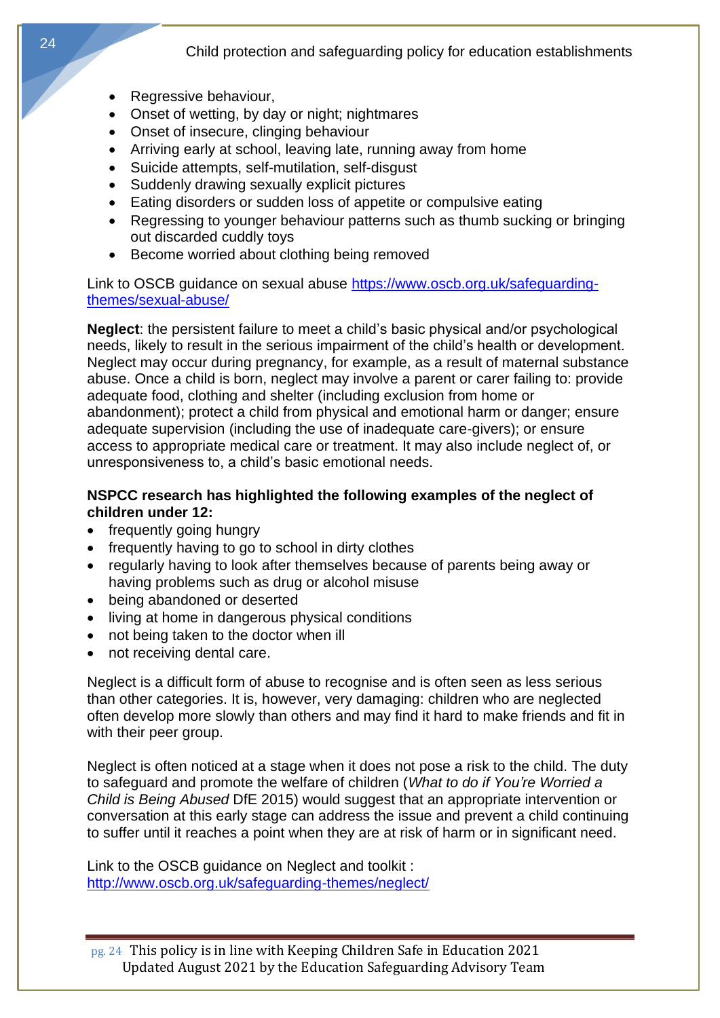- Regressive behaviour,
- Onset of wetting, by day or night; nightmares
- Onset of insecure, clinging behaviour
- Arriving early at school, leaving late, running away from home
- Suicide attempts, self-mutilation, self-disgust
- Suddenly drawing sexually explicit pictures
- Eating disorders or sudden loss of appetite or compulsive eating
- Regressing to younger behaviour patterns such as thumb sucking or bringing out discarded cuddly toys
- Become worried about clothing being removed

Link to OSCB guidance on sexual abuse [https://www.oscb.org.uk/safeguarding](https://www.oscb.org.uk/safeguarding-themes/sexual-abuse/)[themes/sexual-abuse/](https://www.oscb.org.uk/safeguarding-themes/sexual-abuse/)

**Neglect**: the persistent failure to meet a child's basic physical and/or psychological needs, likely to result in the serious impairment of the child's health or development. Neglect may occur during pregnancy, for example, as a result of maternal substance abuse. Once a child is born, neglect may involve a parent or carer failing to: provide adequate food, clothing and shelter (including exclusion from home or abandonment); protect a child from physical and emotional harm or danger; ensure adequate supervision (including the use of inadequate care-givers); or ensure access to appropriate medical care or treatment. It may also include neglect of, or unresponsiveness to, a child's basic emotional needs.

#### **NSPCC research has highlighted the following examples of the neglect of children under 12:**

- frequently going hungry
- frequently having to go to school in dirty clothes
- regularly having to look after themselves because of parents being away or having problems such as drug or alcohol misuse
- being abandoned or deserted
- living at home in dangerous physical conditions
- not being taken to the doctor when ill
- not receiving dental care.

Neglect is a difficult form of abuse to recognise and is often seen as less serious than other categories. It is, however, very damaging: children who are neglected often develop more slowly than others and may find it hard to make friends and fit in with their peer group.

Neglect is often noticed at a stage when it does not pose a risk to the child. The duty to safeguard and promote the welfare of children (*What to do if You're Worried a Child is Being Abused* DfE 2015) would suggest that an appropriate intervention or conversation at this early stage can address the issue and prevent a child continuing to suffer until it reaches a point when they are at risk of harm or in significant need.

Link to the OSCB guidance on Neglect and toolkit : <http://www.oscb.org.uk/safeguarding-themes/neglect/>

pg. 24 This policy is in line with Keeping Children Safe in Education 2021 Updated August 2021 by the Education Safeguarding Advisory Team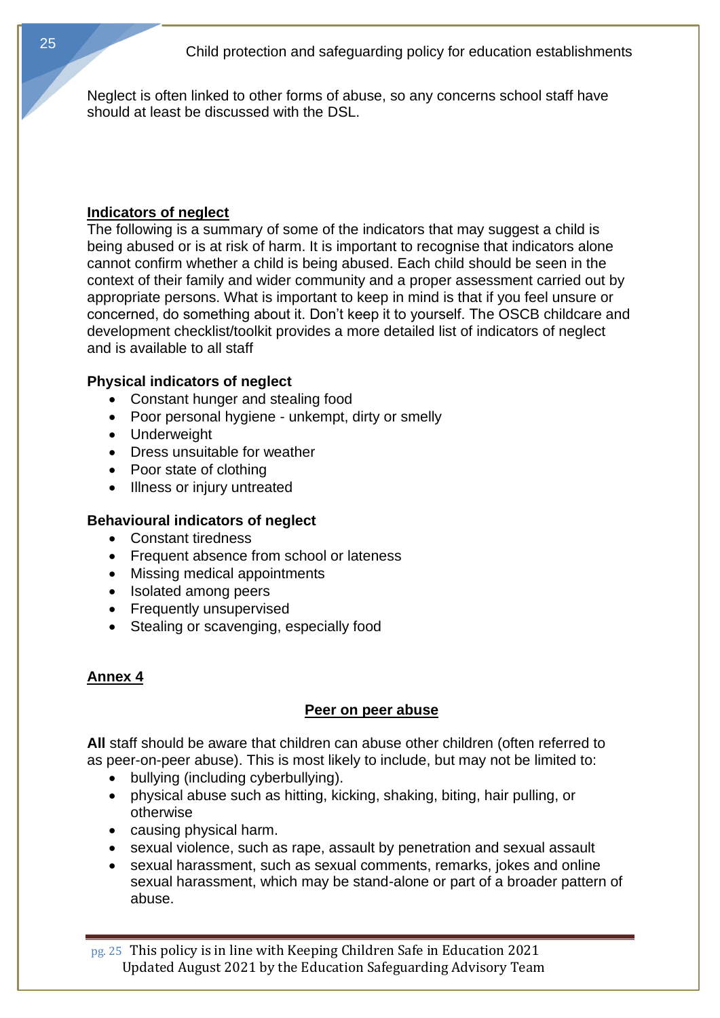Neglect is often linked to other forms of abuse, so any concerns school staff have should at least be discussed with the DSL.

#### **Indicators of neglect**

The following is a summary of some of the indicators that may suggest a child is being abused or is at risk of harm. It is important to recognise that indicators alone cannot confirm whether a child is being abused. Each child should be seen in the context of their family and wider community and a proper assessment carried out by appropriate persons. What is important to keep in mind is that if you feel unsure or concerned, do something about it. Don't keep it to yourself. The OSCB childcare and development checklist/toolkit provides a more detailed list of indicators of neglect and is available to all staff

#### **Physical indicators of neglect**

- Constant hunger and stealing food
- Poor personal hygiene unkempt, dirty or smelly
- Underweight
- Dress unsuitable for weather
- Poor state of clothing
- Illness or injury untreated

#### **Behavioural indicators of neglect**

- Constant tiredness
- Frequent absence from school or lateness
- Missing medical appointments
- Isolated among peers
- Frequently unsupervised
- Stealing or scavenging, especially food

#### **Annex 4**

#### **Peer on peer abuse**

**All** staff should be aware that children can abuse other children (often referred to as peer-on-peer abuse). This is most likely to include, but may not be limited to:

- bullying (including cyberbullying).
- physical abuse such as hitting, kicking, shaking, biting, hair pulling, or otherwise
- causing physical harm.
- sexual violence, such as rape, assault by penetration and sexual assault
- sexual harassment, such as sexual comments, remarks, jokes and online sexual harassment, which may be stand-alone or part of a broader pattern of abuse.

pg. 25 This policy is in line with Keeping Children Safe in Education 2021 Updated August 2021 by the Education Safeguarding Advisory Team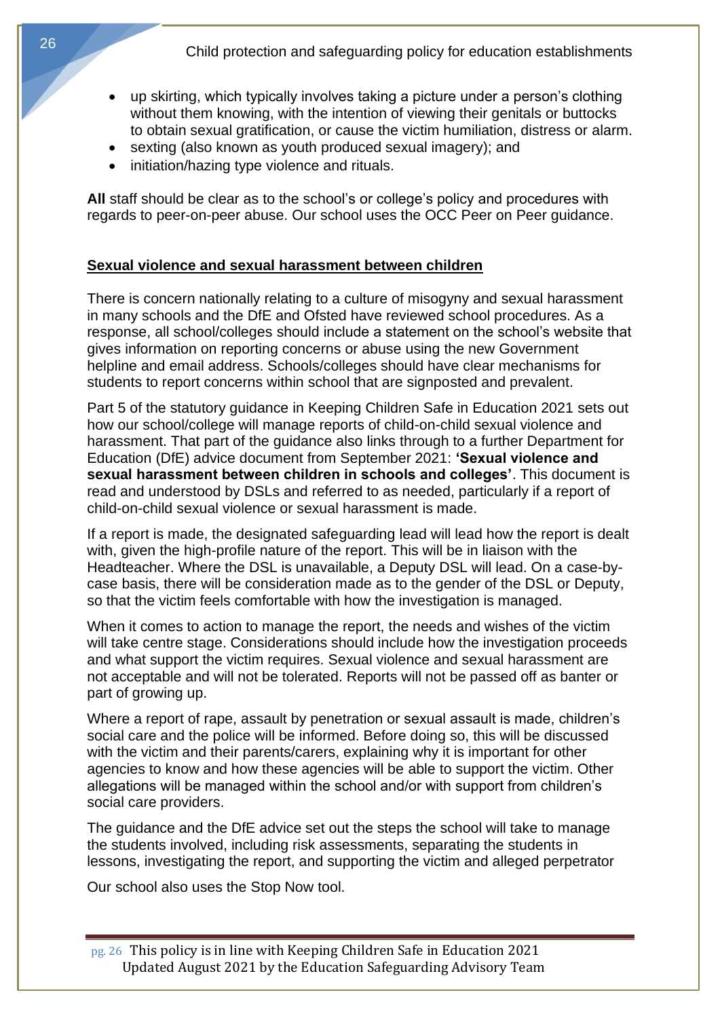- up skirting, which typically involves taking a picture under a person's clothing without them knowing, with the intention of viewing their genitals or buttocks to obtain sexual gratification, or cause the victim humiliation, distress or alarm.
- sexting (also known as youth produced sexual imagery); and
- initiation/hazing type violence and rituals.

**All** staff should be clear as to the school's or college's policy and procedures with regards to peer-on-peer abuse. Our school uses the OCC Peer on Peer guidance.

## **Sexual violence and sexual harassment between children**

There is concern nationally relating to a culture of misogyny and sexual harassment in many schools and the DfE and Ofsted have reviewed school procedures. As a response, all school/colleges should include a statement on the school's website that gives information on reporting concerns or abuse using the new Government helpline and email address. Schools/colleges should have clear mechanisms for students to report concerns within school that are signposted and prevalent.

Part 5 of the statutory guidance in Keeping Children Safe in Education 2021 sets out how our school/college will manage reports of child-on-child sexual violence and harassment. That part of the guidance also links through to a further Department for Education (DfE) advice document from September 2021: **'Sexual violence and sexual harassment between children in schools and colleges'**. This document is read and understood by DSLs and referred to as needed, particularly if a report of child-on-child sexual violence or sexual harassment is made.

If a report is made, the designated safeguarding lead will lead how the report is dealt with, given the high-profile nature of the report. This will be in liaison with the Headteacher. Where the DSL is unavailable, a Deputy DSL will lead. On a case-bycase basis, there will be consideration made as to the gender of the DSL or Deputy, so that the victim feels comfortable with how the investigation is managed.

When it comes to action to manage the report, the needs and wishes of the victim will take centre stage. Considerations should include how the investigation proceeds and what support the victim requires. Sexual violence and sexual harassment are not acceptable and will not be tolerated. Reports will not be passed off as banter or part of growing up.

Where a report of rape, assault by penetration or sexual assault is made, children's social care and the police will be informed. Before doing so, this will be discussed with the victim and their parents/carers, explaining why it is important for other agencies to know and how these agencies will be able to support the victim. Other allegations will be managed within the school and/or with support from children's social care providers.

The guidance and the DfE advice set out the steps the school will take to manage the students involved, including risk assessments, separating the students in lessons, investigating the report, and supporting the victim and alleged perpetrator

Our school also uses the Stop Now tool.

pg. 26 This policy is in line with Keeping Children Safe in Education 2021 Updated August 2021 by the Education Safeguarding Advisory Team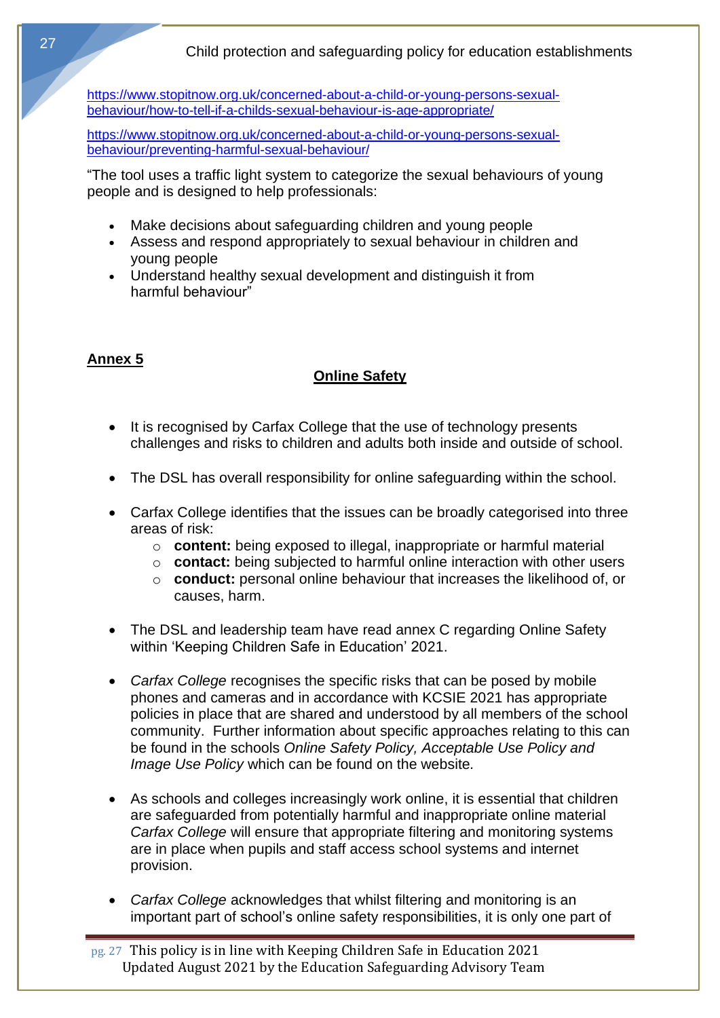[https://www.stopitnow.org.uk/concerned-about-a-child-or-young-persons-sexual](https://www.stopitnow.org.uk/concerned-about-a-child-or-young-persons-sexual-behaviour/how-to-tell-if-a-childs-sexual-behaviour-is-age-appropriate/)[behaviour/how-to-tell-if-a-childs-sexual-behaviour-is-age-appropriate/](https://www.stopitnow.org.uk/concerned-about-a-child-or-young-persons-sexual-behaviour/how-to-tell-if-a-childs-sexual-behaviour-is-age-appropriate/)

[https://www.stopitnow.org.uk/concerned-about-a-child-or-young-persons-sexual](https://www.stopitnow.org.uk/concerned-about-a-child-or-young-persons-sexual-behaviour/preventing-harmful-sexual-behaviour/)[behaviour/preventing-harmful-sexual-behaviour/](https://www.stopitnow.org.uk/concerned-about-a-child-or-young-persons-sexual-behaviour/preventing-harmful-sexual-behaviour/)

"The tool uses a traffic light system to categorize the sexual behaviours of young people and is designed to help professionals:

- Make decisions about safeguarding children and young people
- Assess and respond appropriately to sexual behaviour in children and young people
- Understand healthy sexual development and distinguish it from harmful behaviour"

# **Annex 5**

## **Online Safety**

- It is recognised by Carfax College that the use of technology presents challenges and risks to children and adults both inside and outside of school.
- The DSL has overall responsibility for online safeguarding within the school.
- Carfax College identifies that the issues can be broadly categorised into three areas of risk:
	- o **content:** being exposed to illegal, inappropriate or harmful material
	- o **contact:** being subjected to harmful online interaction with other users
	- o **conduct:** personal online behaviour that increases the likelihood of, or causes, harm.
- The DSL and leadership team have read annex C regarding Online Safety within 'Keeping Children Safe in Education' 2021.
- *Carfax College* recognises the specific risks that can be posed by mobile phones and cameras and in accordance with KCSIE 2021 has appropriate policies in place that are shared and understood by all members of the school community. Further information about specific approaches relating to this can be found in the schools *Online Safety Policy, Acceptable Use Policy and Image Use Policy* which can be found on the website*.*
- As schools and colleges increasingly work online, it is essential that children are safeguarded from potentially harmful and inappropriate online material *Carfax College* will ensure that appropriate filtering and monitoring systems are in place when pupils and staff access school systems and internet provision.
- *Carfax College* acknowledges that whilst filtering and monitoring is an important part of school's online safety responsibilities, it is only one part of

pg. 27 This policy is in line with Keeping Children Safe in Education 2021 Updated August 2021 by the Education Safeguarding Advisory Team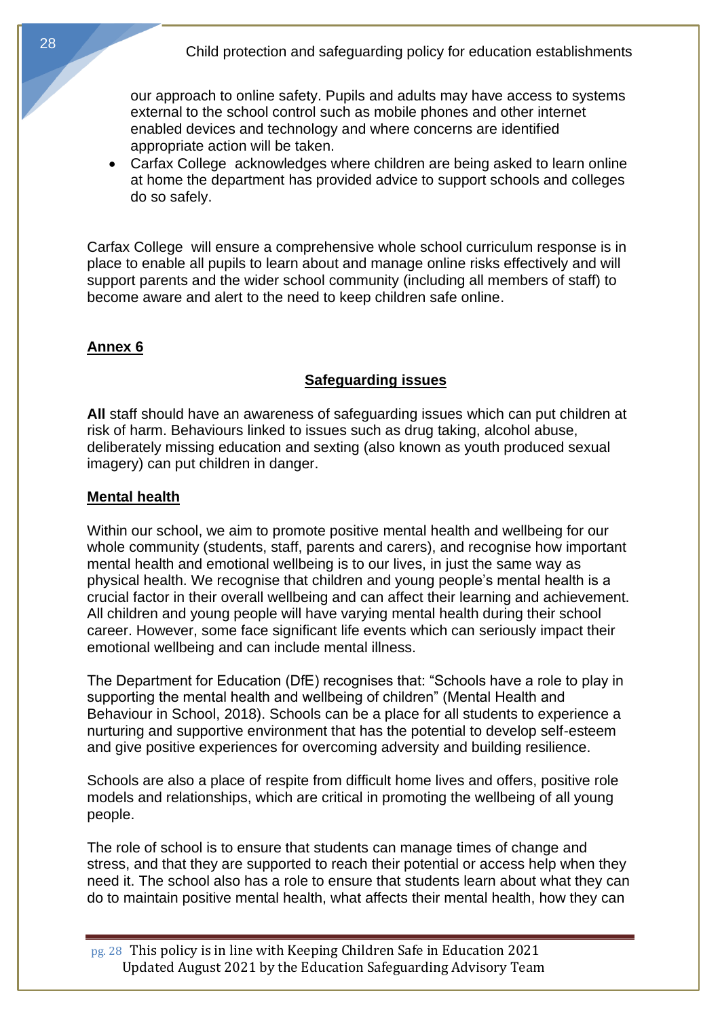our approach to online safety. Pupils and adults may have access to systems external to the school control such as mobile phones and other internet enabled devices and technology and where concerns are identified appropriate action will be taken.

• Carfax Collegeacknowledges where children are being asked to learn online at home the department has provided advice to support schools and colleges do so safely.

Carfax Collegewill ensure a comprehensive whole school curriculum response is in place to enable all pupils to learn about and manage online risks effectively and will support parents and the wider school community (including all members of staff) to become aware and alert to the need to keep children safe online.

#### **Annex 6**

#### **Safeguarding issues**

**All** staff should have an awareness of safeguarding issues which can put children at risk of harm. Behaviours linked to issues such as drug taking, alcohol abuse, deliberately missing education and sexting (also known as youth produced sexual imagery) can put children in danger.

#### **Mental health**

Within our school, we aim to promote positive mental health and wellbeing for our whole community (students, staff, parents and carers), and recognise how important mental health and emotional wellbeing is to our lives, in just the same way as physical health. We recognise that children and young people's mental health is a crucial factor in their overall wellbeing and can affect their learning and achievement. All children and young people will have varying mental health during their school career. However, some face significant life events which can seriously impact their emotional wellbeing and can include mental illness.

The Department for Education (DfE) recognises that: "Schools have a role to play in supporting the mental health and wellbeing of children" (Mental Health and Behaviour in School, 2018). Schools can be a place for all students to experience a nurturing and supportive environment that has the potential to develop self-esteem and give positive experiences for overcoming adversity and building resilience.

Schools are also a place of respite from difficult home lives and offers, positive role models and relationships, which are critical in promoting the wellbeing of all young people.

The role of school is to ensure that students can manage times of change and stress, and that they are supported to reach their potential or access help when they need it. The school also has a role to ensure that students learn about what they can do to maintain positive mental health, what affects their mental health, how they can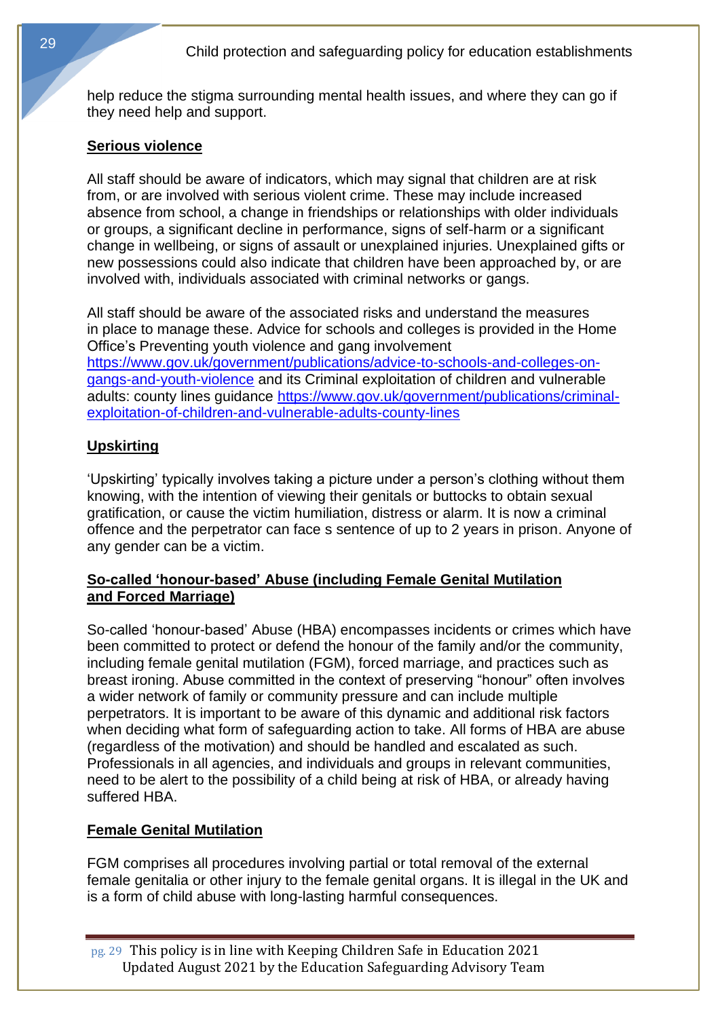help reduce the stigma surrounding mental health issues, and where they can go if they need help and support.

## **Serious violence**

All staff should be aware of indicators, which may signal that children are at risk from, or are involved with serious violent crime. These may include increased absence from school, a change in friendships or relationships with older individuals or groups, a significant decline in performance, signs of self-harm or a significant change in wellbeing, or signs of assault or unexplained injuries. Unexplained gifts or new possessions could also indicate that children have been approached by, or are involved with, individuals associated with criminal networks or gangs.

All staff should be aware of the associated risks and understand the measures in place to manage these. Advice for schools and colleges is provided in the Home Office's Preventing youth violence and gang involvement [https://www.gov.uk/government/publications/advice-to-schools-and-colleges-on](https://www.gov.uk/government/publications/advice-to-schools-and-colleges-on-gangs-and-youth-violence)[gangs-and-youth-violence](https://www.gov.uk/government/publications/advice-to-schools-and-colleges-on-gangs-and-youth-violence) and its Criminal exploitation of children and vulnerable adults: county lines quidance [https://www.gov.uk/government/publications/criminal](https://www.gov.uk/government/publications/criminal-exploitation-of-children-and-vulnerable-adults-county-lines)[exploitation-of-children-and-vulnerable-adults-county-lines](https://www.gov.uk/government/publications/criminal-exploitation-of-children-and-vulnerable-adults-county-lines)

## **Upskirting**

'Upskirting' typically involves taking a picture under a person's clothing without them knowing, with the intention of viewing their genitals or buttocks to obtain sexual gratification, or cause the victim humiliation, distress or alarm. It is now a criminal offence and the perpetrator can face s sentence of up to 2 years in prison. Anyone of any gender can be a victim.

#### **So-called 'honour-based' Abuse (including Female Genital Mutilation and Forced Marriage)**

So-called 'honour-based' Abuse (HBA) encompasses incidents or crimes which have been committed to protect or defend the honour of the family and/or the community, including female genital mutilation (FGM), forced marriage, and practices such as breast ironing. Abuse committed in the context of preserving "honour" often involves a wider network of family or community pressure and can include multiple perpetrators. It is important to be aware of this dynamic and additional risk factors when deciding what form of safeguarding action to take. All forms of HBA are abuse (regardless of the motivation) and should be handled and escalated as such. Professionals in all agencies, and individuals and groups in relevant communities, need to be alert to the possibility of a child being at risk of HBA, or already having suffered HBA.

## **Female Genital Mutilation**

FGM comprises all procedures involving partial or total removal of the external female genitalia or other injury to the female genital organs. It is illegal in the UK and is a form of child abuse with long-lasting harmful consequences.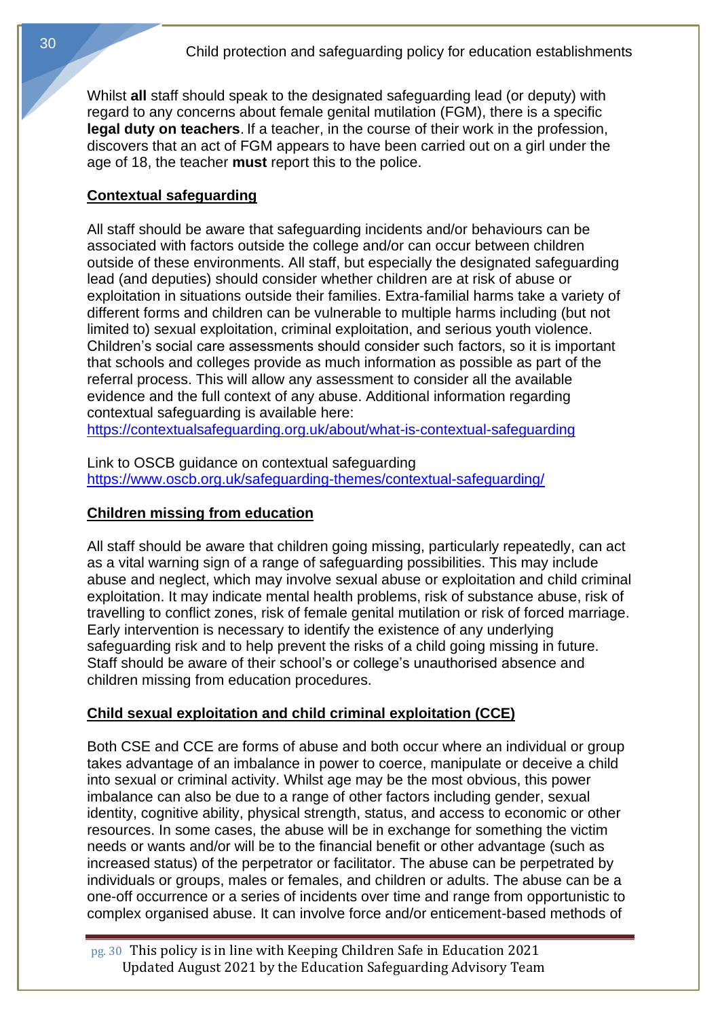Whilst **all** staff should speak to the designated safeguarding lead (or deputy) with regard to any concerns about female genital mutilation (FGM), there is a specific **legal duty on teachers**. If a teacher, in the course of their work in the profession, discovers that an act of FGM appears to have been carried out on a girl under the age of 18, the teacher **must** report this to the police.

## **Contextual safeguarding**

All staff should be aware that safeguarding incidents and/or behaviours can be associated with factors outside the college and/or can occur between children outside of these environments. All staff, but especially the designated safeguarding lead (and deputies) should consider whether children are at risk of abuse or exploitation in situations outside their families. Extra-familial harms take a variety of different forms and children can be vulnerable to multiple harms including (but not limited to) sexual exploitation, criminal exploitation, and serious youth violence. Children's social care assessments should consider such factors, so it is important that schools and colleges provide as much information as possible as part of the referral process. This will allow any assessment to consider all the available evidence and the full context of any abuse. Additional information regarding contextual safeguarding is available here:

<https://contextualsafeguarding.org.uk/about/what-is-contextual-safeguarding>

Link to OSCB guidance on contextual safeguarding <https://www.oscb.org.uk/safeguarding-themes/contextual-safeguarding/>

#### **Children missing from education**

All staff should be aware that children going missing, particularly repeatedly, can act as a vital warning sign of a range of safeguarding possibilities. This may include abuse and neglect, which may involve sexual abuse or exploitation and child criminal exploitation. It may indicate mental health problems, risk of substance abuse, risk of travelling to conflict zones, risk of female genital mutilation or risk of forced marriage. Early intervention is necessary to identify the existence of any underlying safeguarding risk and to help prevent the risks of a child going missing in future. Staff should be aware of their school's or college's unauthorised absence and children missing from education procedures.

#### **Child sexual exploitation and child criminal exploitation (CCE)**

Both CSE and CCE are forms of abuse and both occur where an individual or group takes advantage of an imbalance in power to coerce, manipulate or deceive a child into sexual or criminal activity. Whilst age may be the most obvious, this power imbalance can also be due to a range of other factors including gender, sexual identity, cognitive ability, physical strength, status, and access to economic or other resources. In some cases, the abuse will be in exchange for something the victim needs or wants and/or will be to the financial benefit or other advantage (such as increased status) of the perpetrator or facilitator. The abuse can be perpetrated by individuals or groups, males or females, and children or adults. The abuse can be a one-off occurrence or a series of incidents over time and range from opportunistic to complex organised abuse. It can involve force and/or enticement-based methods of

pg. 30 This policy is in line with Keeping Children Safe in Education 2021 Updated August 2021 by the Education Safeguarding Advisory Team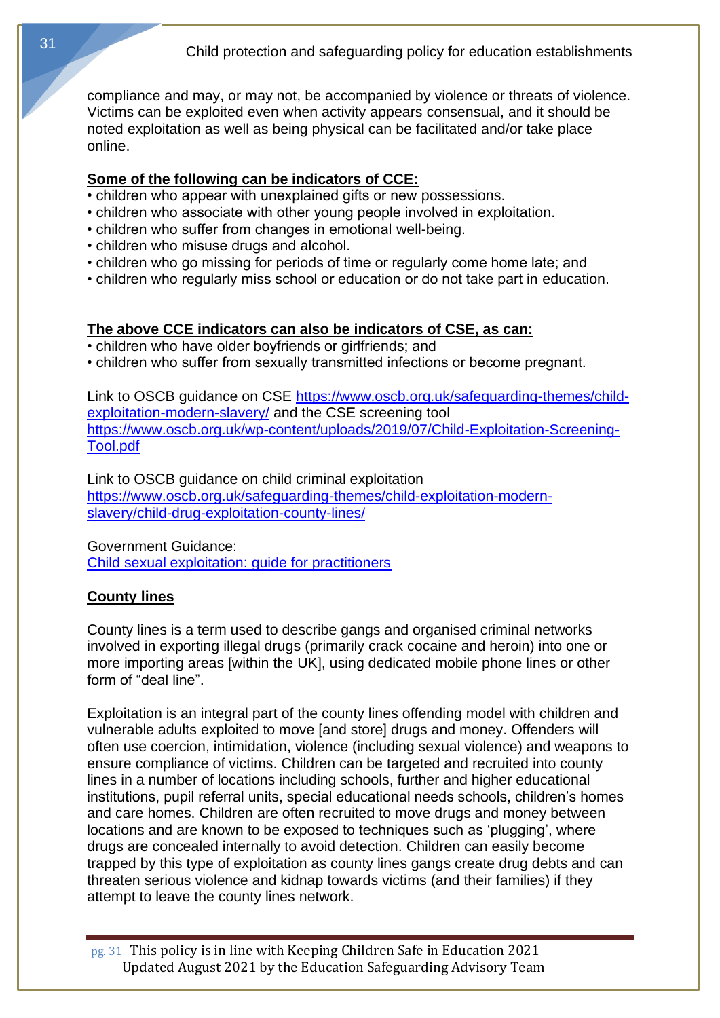compliance and may, or may not, be accompanied by violence or threats of violence. Victims can be exploited even when activity appears consensual, and it should be noted exploitation as well as being physical can be facilitated and/or take place online.

## **Some of the following can be indicators of CCE:**

- children who appear with unexplained gifts or new possessions.
- children who associate with other young people involved in exploitation.
- children who suffer from changes in emotional well-being.
- children who misuse drugs and alcohol.
- children who go missing for periods of time or regularly come home late; and
- children who regularly miss school or education or do not take part in education.

## **The above CCE indicators can also be indicators of CSE, as can:**

- children who have older boyfriends or girlfriends; and
- children who suffer from sexually transmitted infections or become pregnant.

Link to OSCB guidance on CSE [https://www.oscb.org.uk/safeguarding-themes/child](https://www.oscb.org.uk/safeguarding-themes/child-exploitation-modern-slavery/)[exploitation-modern-slavery/](https://www.oscb.org.uk/safeguarding-themes/child-exploitation-modern-slavery/) and the CSE screening tool [https://www.oscb.org.uk/wp-content/uploads/2019/07/Child-Exploitation-Screening-](https://www.oscb.org.uk/wp-content/uploads/2019/07/Child-Exploitation-Screening-Tool.pdf)[Tool.pdf](https://www.oscb.org.uk/wp-content/uploads/2019/07/Child-Exploitation-Screening-Tool.pdf)

Link to OSCB guidance on child criminal exploitation [https://www.oscb.org.uk/safeguarding-themes/child-exploitation-modern](https://www.oscb.org.uk/safeguarding-themes/child-exploitation-modern-slavery/child-drug-exploitation-county-lines/)[slavery/child-drug-exploitation-county-lines/](https://www.oscb.org.uk/safeguarding-themes/child-exploitation-modern-slavery/child-drug-exploitation-county-lines/)

Government Guidance:

[Child sexual exploitation: guide for practitioners](https://www.gov.uk/government/publications/child-sexual-exploitation-definition-and-guide-for-practitioners)

## **County lines**

County lines is a term used to describe gangs and organised criminal networks involved in exporting illegal drugs (primarily crack cocaine and heroin) into one or more importing areas [within the UK], using dedicated mobile phone lines or other form of "deal line".

Exploitation is an integral part of the county lines offending model with children and vulnerable adults exploited to move [and store] drugs and money. Offenders will often use coercion, intimidation, violence (including sexual violence) and weapons to ensure compliance of victims. Children can be targeted and recruited into county lines in a number of locations including schools, further and higher educational institutions, pupil referral units, special educational needs schools, children's homes and care homes. Children are often recruited to move drugs and money between locations and are known to be exposed to techniques such as 'plugging', where drugs are concealed internally to avoid detection. Children can easily become trapped by this type of exploitation as county lines gangs create drug debts and can threaten serious violence and kidnap towards victims (and their families) if they attempt to leave the county lines network.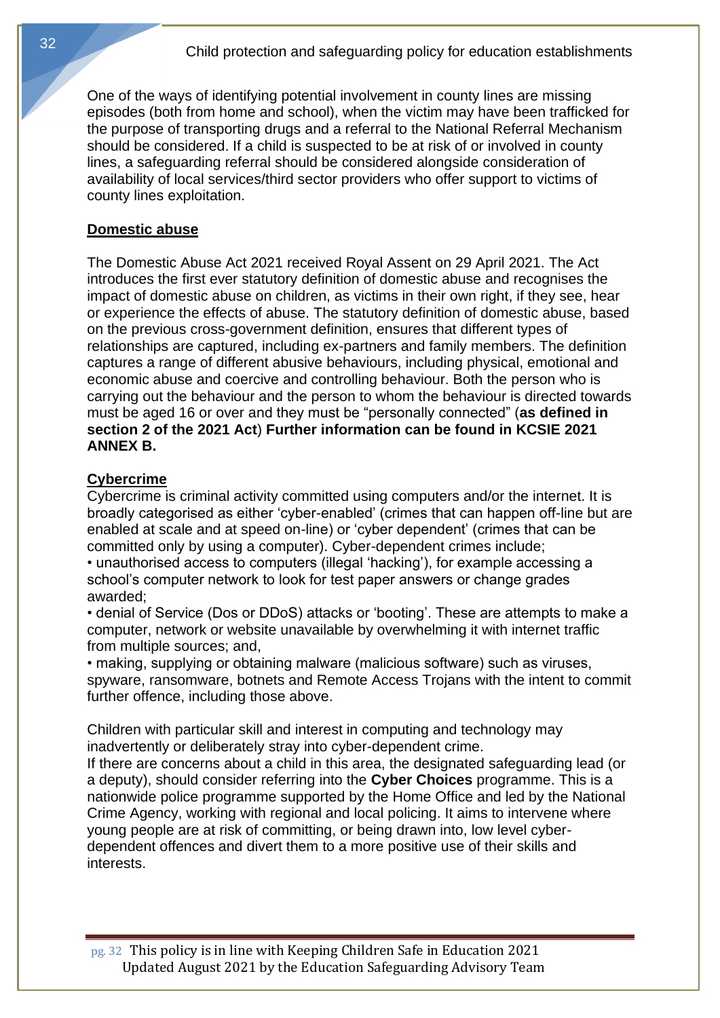One of the ways of identifying potential involvement in county lines are missing episodes (both from home and school), when the victim may have been trafficked for the purpose of transporting drugs and a referral to the National Referral Mechanism should be considered. If a child is suspected to be at risk of or involved in county lines, a safeguarding referral should be considered alongside consideration of availability of local services/third sector providers who offer support to victims of county lines exploitation.

#### **Domestic abuse**

The Domestic Abuse Act 2021 received Royal Assent on 29 April 2021. The Act introduces the first ever statutory definition of domestic abuse and recognises the impact of domestic abuse on children, as victims in their own right, if they see, hear or experience the effects of abuse. The statutory definition of domestic abuse, based on the previous cross-government definition, ensures that different types of relationships are captured, including ex-partners and family members. The definition captures a range of different abusive behaviours, including physical, emotional and economic abuse and coercive and controlling behaviour. Both the person who is carrying out the behaviour and the person to whom the behaviour is directed towards must be aged 16 or over and they must be "personally connected" (**as defined in section 2 of the 2021 Act**) **Further information can be found in KCSIE 2021 ANNEX B.**

#### **Cybercrime**

Cybercrime is criminal activity committed using computers and/or the internet. It is broadly categorised as either 'cyber-enabled' (crimes that can happen off-line but are enabled at scale and at speed on-line) or 'cyber dependent' (crimes that can be committed only by using a computer). Cyber-dependent crimes include;

• unauthorised access to computers (illegal 'hacking'), for example accessing a school's computer network to look for test paper answers or change grades awarded;

• denial of Service (Dos or DDoS) attacks or 'booting'. These are attempts to make a computer, network or website unavailable by overwhelming it with internet traffic from multiple sources; and,

• making, supplying or obtaining malware (malicious software) such as viruses, spyware, ransomware, botnets and Remote Access Trojans with the intent to commit further offence, including those above.

Children with particular skill and interest in computing and technology may inadvertently or deliberately stray into cyber-dependent crime.

If there are concerns about a child in this area, the designated safeguarding lead (or a deputy), should consider referring into the **Cyber Choices** programme. This is a nationwide police programme supported by the Home Office and led by the National Crime Agency, working with regional and local policing. It aims to intervene where young people are at risk of committing, or being drawn into, low level cyberdependent offences and divert them to a more positive use of their skills and interests.

pg. 32 This policy is in line with Keeping Children Safe in Education 2021 Updated August 2021 by the Education Safeguarding Advisory Team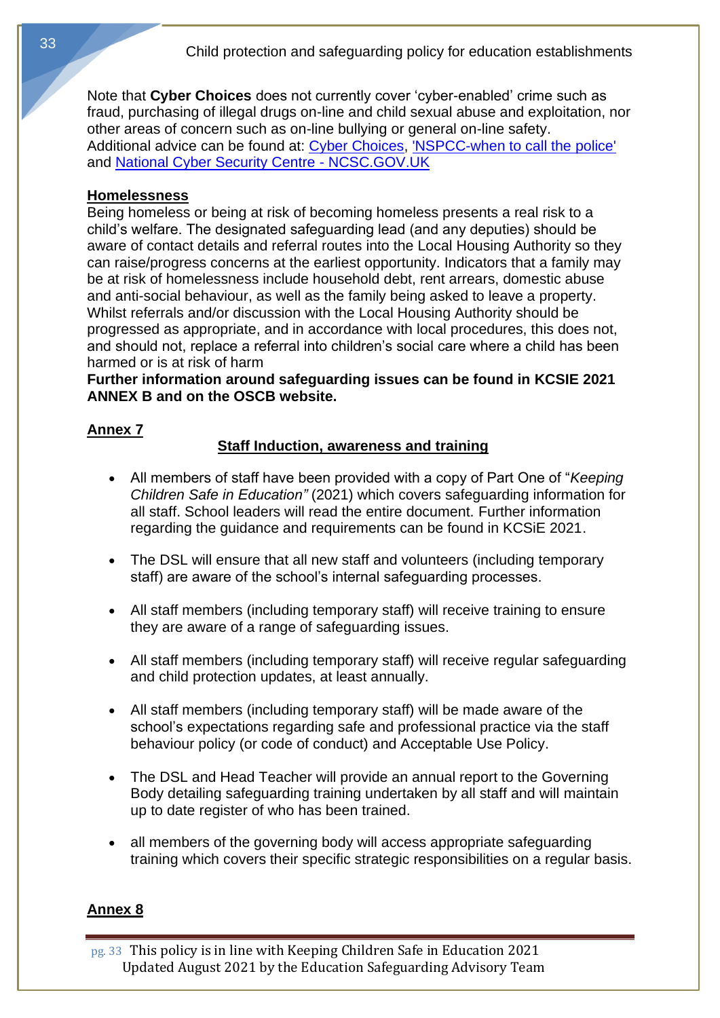Note that **Cyber Choices** does not currently cover 'cyber-enabled' crime such as fraud, purchasing of illegal drugs on-line and child sexual abuse and exploitation, nor other areas of concern such as on-line bullying or general on-line safety. Additional advice can be found at: [Cyber Choices,](http://www.cyberchoices.uk/) ['NSPCC-when to call the](https://www.npcc.police.uk/documents/Children%20and%20Young%20people/When%20to%20call%20the%20police%20guidance%20for%20schools%20and%20colleges.pdf) police' and [National Cyber Security Centre -](https://www.ncsc.gov.uk/) NCSC.GOV.UK

#### **Homelessness**

Being homeless or being at risk of becoming homeless presents a real risk to a child's welfare. The designated safeguarding lead (and any deputies) should be aware of contact details and referral routes into the Local Housing Authority so they can raise/progress concerns at the earliest opportunity. Indicators that a family may be at risk of homelessness include household debt, rent arrears, domestic abuse and anti-social behaviour, as well as the family being asked to leave a property. Whilst referrals and/or discussion with the Local Housing Authority should be progressed as appropriate, and in accordance with local procedures, this does not, and should not, replace a referral into children's social care where a child has been harmed or is at risk of harm

**Further information around safeguarding issues can be found in KCSIE 2021 ANNEX B and on the OSCB website.**

## **Annex 7**

## **Staff Induction, awareness and training**

- All members of staff have been provided with a copy of Part One of "*Keeping Children Safe in Education"* (2021) which covers safeguarding information for all staff. School leaders will read the entire document. Further information regarding the guidance and requirements can be found in KCSiE 2021.
- The DSL will ensure that all new staff and volunteers (including temporary staff) are aware of the school's internal safeguarding processes.
- All staff members (including temporary staff) will receive training to ensure they are aware of a range of safeguarding issues.
- All staff members (including temporary staff) will receive regular safeguarding and child protection updates, at least annually.
- All staff members (including temporary staff) will be made aware of the school's expectations regarding safe and professional practice via the staff behaviour policy (or code of conduct) and Acceptable Use Policy.
- The DSL and Head Teacher will provide an annual report to the Governing Body detailing safeguarding training undertaken by all staff and will maintain up to date register of who has been trained.
- all members of the governing body will access appropriate safeguarding training which covers their specific strategic responsibilities on a regular basis.

## **Annex 8**

pg. 33 This policy is in line with Keeping Children Safe in Education 2021 Updated August 2021 by the Education Safeguarding Advisory Team